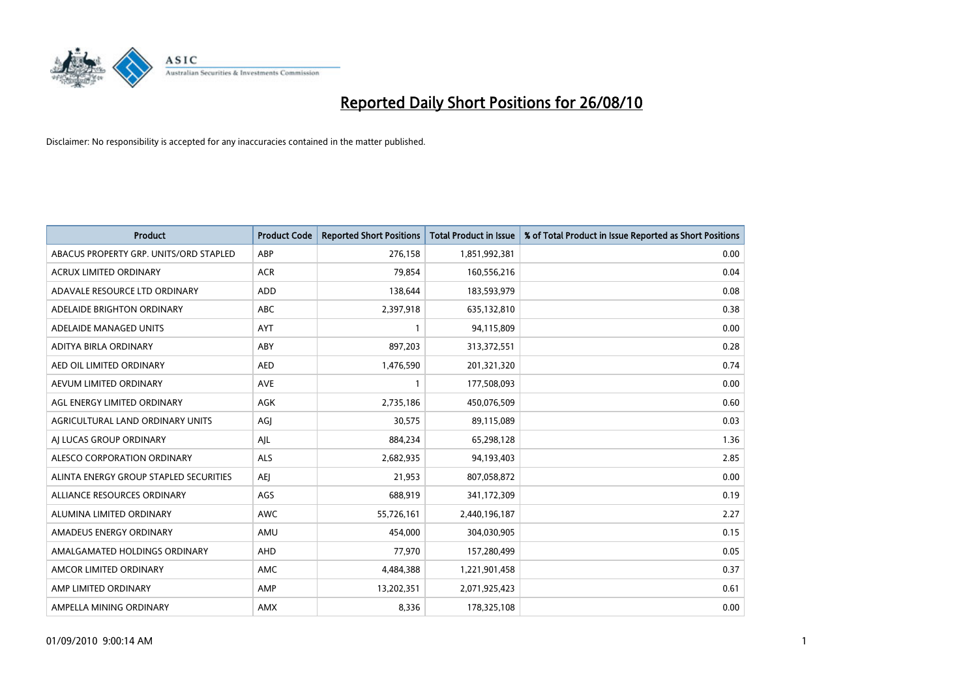

| <b>Product</b>                         | <b>Product Code</b> | <b>Reported Short Positions</b> | <b>Total Product in Issue</b> | % of Total Product in Issue Reported as Short Positions |
|----------------------------------------|---------------------|---------------------------------|-------------------------------|---------------------------------------------------------|
| ABACUS PROPERTY GRP. UNITS/ORD STAPLED | ABP                 | 276,158                         | 1,851,992,381                 | 0.00                                                    |
| <b>ACRUX LIMITED ORDINARY</b>          | <b>ACR</b>          | 79,854                          | 160,556,216                   | 0.04                                                    |
| ADAVALE RESOURCE LTD ORDINARY          | <b>ADD</b>          | 138,644                         | 183,593,979                   | 0.08                                                    |
| ADELAIDE BRIGHTON ORDINARY             | <b>ABC</b>          | 2,397,918                       | 635,132,810                   | 0.38                                                    |
| ADELAIDE MANAGED UNITS                 | <b>AYT</b>          |                                 | 94,115,809                    | 0.00                                                    |
| ADITYA BIRLA ORDINARY                  | ABY                 | 897,203                         | 313,372,551                   | 0.28                                                    |
| AED OIL LIMITED ORDINARY               | <b>AED</b>          | 1,476,590                       | 201,321,320                   | 0.74                                                    |
| AEVUM LIMITED ORDINARY                 | <b>AVE</b>          |                                 | 177,508,093                   | 0.00                                                    |
| AGL ENERGY LIMITED ORDINARY            | <b>AGK</b>          | 2,735,186                       | 450,076,509                   | 0.60                                                    |
| AGRICULTURAL LAND ORDINARY UNITS       | AGJ                 | 30,575                          | 89,115,089                    | 0.03                                                    |
| AI LUCAS GROUP ORDINARY                | AJL                 | 884,234                         | 65,298,128                    | 1.36                                                    |
| ALESCO CORPORATION ORDINARY            | <b>ALS</b>          | 2,682,935                       | 94,193,403                    | 2.85                                                    |
| ALINTA ENERGY GROUP STAPLED SECURITIES | <b>AEI</b>          | 21.953                          | 807,058,872                   | 0.00                                                    |
| ALLIANCE RESOURCES ORDINARY            | AGS                 | 688.919                         | 341,172,309                   | 0.19                                                    |
| ALUMINA LIMITED ORDINARY               | <b>AWC</b>          | 55,726,161                      | 2,440,196,187                 | 2.27                                                    |
| AMADEUS ENERGY ORDINARY                | AMU                 | 454.000                         | 304,030,905                   | 0.15                                                    |
| AMALGAMATED HOLDINGS ORDINARY          | AHD                 | 77,970                          | 157,280,499                   | 0.05                                                    |
| AMCOR LIMITED ORDINARY                 | AMC                 | 4,484,388                       | 1,221,901,458                 | 0.37                                                    |
| AMP LIMITED ORDINARY                   | AMP                 | 13,202,351                      | 2,071,925,423                 | 0.61                                                    |
| AMPELLA MINING ORDINARY                | <b>AMX</b>          | 8,336                           | 178,325,108                   | 0.00                                                    |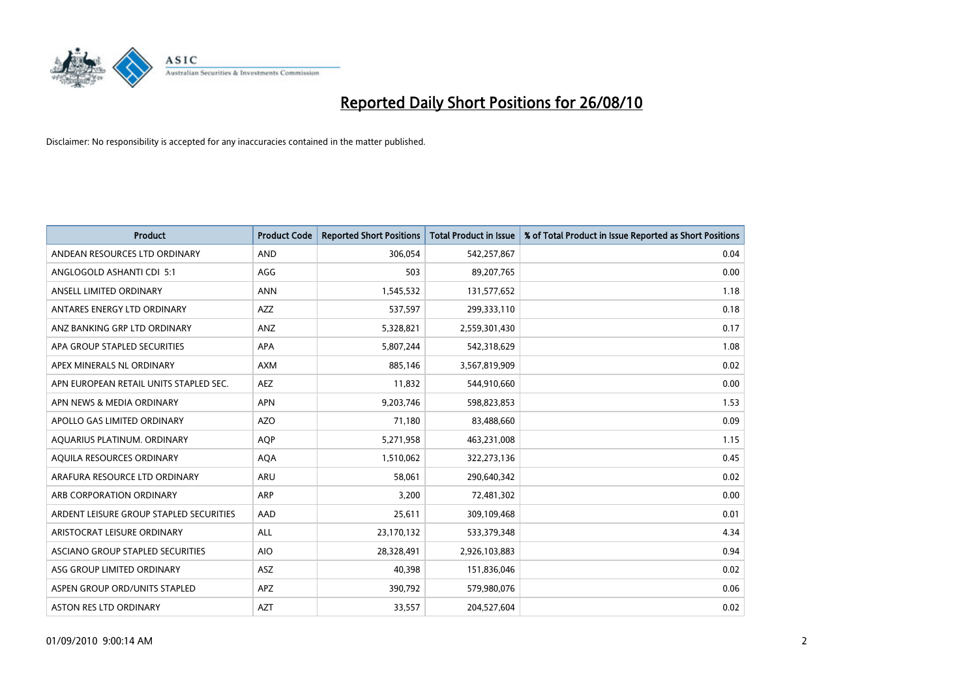

| <b>Product</b>                          | <b>Product Code</b> | <b>Reported Short Positions</b> | Total Product in Issue | % of Total Product in Issue Reported as Short Positions |
|-----------------------------------------|---------------------|---------------------------------|------------------------|---------------------------------------------------------|
| ANDEAN RESOURCES LTD ORDINARY           | <b>AND</b>          | 306,054                         | 542,257,867            | 0.04                                                    |
| ANGLOGOLD ASHANTI CDI 5:1               | AGG                 | 503                             | 89,207,765             | 0.00                                                    |
| ANSELL LIMITED ORDINARY                 | <b>ANN</b>          | 1,545,532                       | 131,577,652            | 1.18                                                    |
| ANTARES ENERGY LTD ORDINARY             | <b>AZZ</b>          | 537,597                         | 299,333,110            | 0.18                                                    |
| ANZ BANKING GRP LTD ORDINARY            | ANZ                 | 5,328,821                       | 2,559,301,430          | 0.17                                                    |
| APA GROUP STAPLED SECURITIES            | <b>APA</b>          | 5,807,244                       | 542,318,629            | 1.08                                                    |
| APEX MINERALS NL ORDINARY               | <b>AXM</b>          | 885,146                         | 3,567,819,909          | 0.02                                                    |
| APN EUROPEAN RETAIL UNITS STAPLED SEC.  | <b>AEZ</b>          | 11,832                          | 544,910,660            | 0.00                                                    |
| APN NEWS & MEDIA ORDINARY               | <b>APN</b>          | 9,203,746                       | 598,823,853            | 1.53                                                    |
| APOLLO GAS LIMITED ORDINARY             | <b>AZO</b>          | 71,180                          | 83,488,660             | 0.09                                                    |
| AQUARIUS PLATINUM. ORDINARY             | <b>AOP</b>          | 5,271,958                       | 463,231,008            | 1.15                                                    |
| AQUILA RESOURCES ORDINARY               | <b>AQA</b>          | 1,510,062                       | 322,273,136            | 0.45                                                    |
| ARAFURA RESOURCE LTD ORDINARY           | <b>ARU</b>          | 58,061                          | 290,640,342            | 0.02                                                    |
| ARB CORPORATION ORDINARY                | ARP                 | 3,200                           | 72,481,302             | 0.00                                                    |
| ARDENT LEISURE GROUP STAPLED SECURITIES | AAD                 | 25,611                          | 309,109,468            | 0.01                                                    |
| ARISTOCRAT LEISURE ORDINARY             | ALL                 | 23,170,132                      | 533,379,348            | 4.34                                                    |
| ASCIANO GROUP STAPLED SECURITIES        | <b>AIO</b>          | 28,328,491                      | 2,926,103,883          | 0.94                                                    |
| ASG GROUP LIMITED ORDINARY              | <b>ASZ</b>          | 40,398                          | 151,836,046            | 0.02                                                    |
| ASPEN GROUP ORD/UNITS STAPLED           | APZ                 | 390,792                         | 579,980,076            | 0.06                                                    |
| ASTON RES LTD ORDINARY                  | <b>AZT</b>          | 33,557                          | 204,527,604            | 0.02                                                    |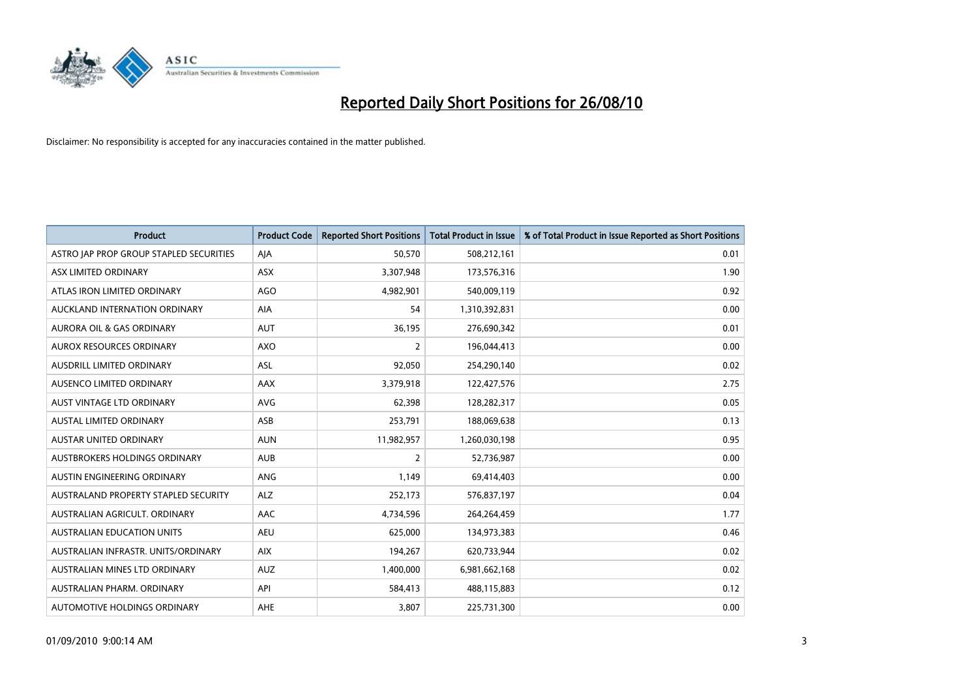

| <b>Product</b>                          | <b>Product Code</b> | <b>Reported Short Positions</b> | <b>Total Product in Issue</b> | % of Total Product in Issue Reported as Short Positions |
|-----------------------------------------|---------------------|---------------------------------|-------------------------------|---------------------------------------------------------|
| ASTRO JAP PROP GROUP STAPLED SECURITIES | AJA                 | 50.570                          | 508,212,161                   | 0.01                                                    |
| ASX LIMITED ORDINARY                    | <b>ASX</b>          | 3,307,948                       | 173,576,316                   | 1.90                                                    |
| ATLAS IRON LIMITED ORDINARY             | <b>AGO</b>          | 4,982,901                       | 540,009,119                   | 0.92                                                    |
| AUCKLAND INTERNATION ORDINARY           | <b>AIA</b>          | 54                              | 1,310,392,831                 | 0.00                                                    |
| <b>AURORA OIL &amp; GAS ORDINARY</b>    | <b>AUT</b>          | 36,195                          | 276,690,342                   | 0.01                                                    |
| <b>AUROX RESOURCES ORDINARY</b>         | <b>AXO</b>          | $\overline{2}$                  | 196,044,413                   | 0.00                                                    |
| AUSDRILL LIMITED ORDINARY               | ASL                 | 92,050                          | 254,290,140                   | 0.02                                                    |
| AUSENCO LIMITED ORDINARY                | AAX                 | 3,379,918                       | 122,427,576                   | 2.75                                                    |
| <b>AUST VINTAGE LTD ORDINARY</b>        | <b>AVG</b>          | 62,398                          | 128,282,317                   | 0.05                                                    |
| <b>AUSTAL LIMITED ORDINARY</b>          | ASB                 | 253,791                         | 188,069,638                   | 0.13                                                    |
| AUSTAR UNITED ORDINARY                  | <b>AUN</b>          | 11,982,957                      | 1,260,030,198                 | 0.95                                                    |
| <b>AUSTBROKERS HOLDINGS ORDINARY</b>    | <b>AUB</b>          | $\overline{2}$                  | 52,736,987                    | 0.00                                                    |
| AUSTIN ENGINEERING ORDINARY             | ANG                 | 1,149                           | 69,414,403                    | 0.00                                                    |
| AUSTRALAND PROPERTY STAPLED SECURITY    | <b>ALZ</b>          | 252,173                         | 576,837,197                   | 0.04                                                    |
| AUSTRALIAN AGRICULT, ORDINARY           | AAC                 | 4,734,596                       | 264,264,459                   | 1.77                                                    |
| AUSTRALIAN EDUCATION UNITS              | AEU                 | 625,000                         | 134,973,383                   | 0.46                                                    |
| AUSTRALIAN INFRASTR. UNITS/ORDINARY     | <b>AIX</b>          | 194,267                         | 620,733,944                   | 0.02                                                    |
| AUSTRALIAN MINES LTD ORDINARY           | <b>AUZ</b>          | 1,400,000                       | 6,981,662,168                 | 0.02                                                    |
| AUSTRALIAN PHARM, ORDINARY              | API                 | 584,413                         | 488,115,883                   | 0.12                                                    |
| AUTOMOTIVE HOLDINGS ORDINARY            | <b>AHE</b>          | 3,807                           | 225,731,300                   | 0.00                                                    |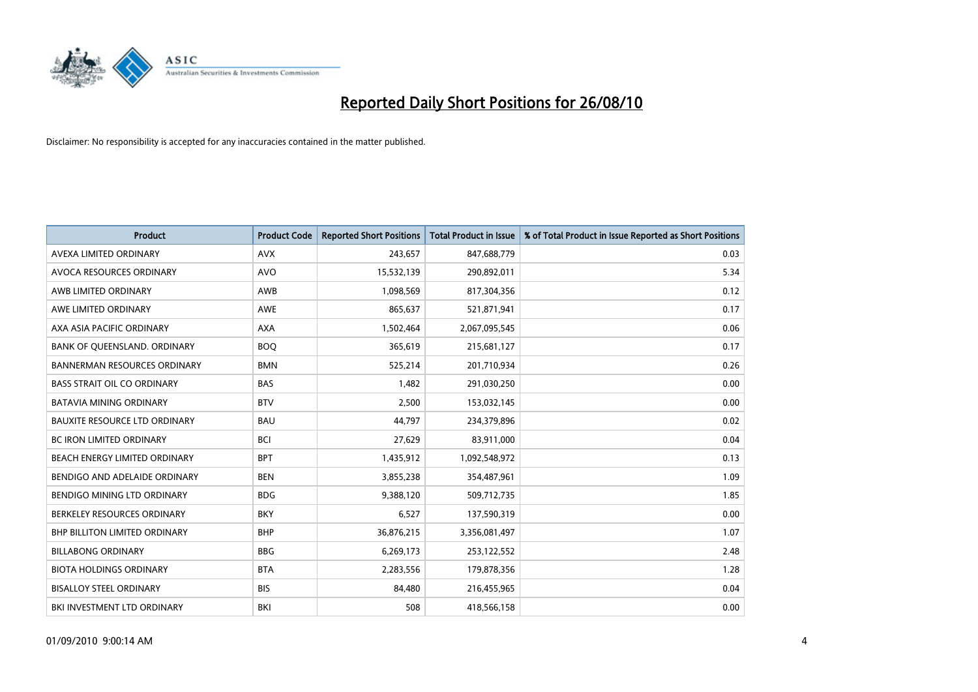

| <b>Product</b>                       | <b>Product Code</b> | <b>Reported Short Positions</b> | <b>Total Product in Issue</b> | % of Total Product in Issue Reported as Short Positions |
|--------------------------------------|---------------------|---------------------------------|-------------------------------|---------------------------------------------------------|
| AVEXA LIMITED ORDINARY               | <b>AVX</b>          | 243,657                         | 847,688,779                   | 0.03                                                    |
| AVOCA RESOURCES ORDINARY             | <b>AVO</b>          | 15,532,139                      | 290,892,011                   | 5.34                                                    |
| AWB LIMITED ORDINARY                 | AWB                 | 1,098,569                       | 817,304,356                   | 0.12                                                    |
| AWE LIMITED ORDINARY                 | <b>AWE</b>          | 865,637                         | 521,871,941                   | 0.17                                                    |
| AXA ASIA PACIFIC ORDINARY            | <b>AXA</b>          | 1,502,464                       | 2,067,095,545                 | 0.06                                                    |
| BANK OF QUEENSLAND. ORDINARY         | <b>BOQ</b>          | 365,619                         | 215,681,127                   | 0.17                                                    |
| <b>BANNERMAN RESOURCES ORDINARY</b>  | <b>BMN</b>          | 525,214                         | 201,710,934                   | 0.26                                                    |
| <b>BASS STRAIT OIL CO ORDINARY</b>   | <b>BAS</b>          | 1,482                           | 291,030,250                   | 0.00                                                    |
| BATAVIA MINING ORDINARY              | <b>BTV</b>          | 2,500                           | 153,032,145                   | 0.00                                                    |
| <b>BAUXITE RESOURCE LTD ORDINARY</b> | <b>BAU</b>          | 44,797                          | 234,379,896                   | 0.02                                                    |
| <b>BC IRON LIMITED ORDINARY</b>      | <b>BCI</b>          | 27,629                          | 83,911,000                    | 0.04                                                    |
| BEACH ENERGY LIMITED ORDINARY        | <b>BPT</b>          | 1,435,912                       | 1,092,548,972                 | 0.13                                                    |
| BENDIGO AND ADELAIDE ORDINARY        | <b>BEN</b>          | 3,855,238                       | 354,487,961                   | 1.09                                                    |
| <b>BENDIGO MINING LTD ORDINARY</b>   | <b>BDG</b>          | 9,388,120                       | 509,712,735                   | 1.85                                                    |
| BERKELEY RESOURCES ORDINARY          | <b>BKY</b>          | 6,527                           | 137,590,319                   | 0.00                                                    |
| BHP BILLITON LIMITED ORDINARY        | <b>BHP</b>          | 36,876,215                      | 3,356,081,497                 | 1.07                                                    |
| <b>BILLABONG ORDINARY</b>            | <b>BBG</b>          | 6,269,173                       | 253,122,552                   | 2.48                                                    |
| <b>BIOTA HOLDINGS ORDINARY</b>       | <b>BTA</b>          | 2,283,556                       | 179,878,356                   | 1.28                                                    |
| <b>BISALLOY STEEL ORDINARY</b>       | <b>BIS</b>          | 84,480                          | 216,455,965                   | 0.04                                                    |
| BKI INVESTMENT LTD ORDINARY          | <b>BKI</b>          | 508                             | 418,566,158                   | 0.00                                                    |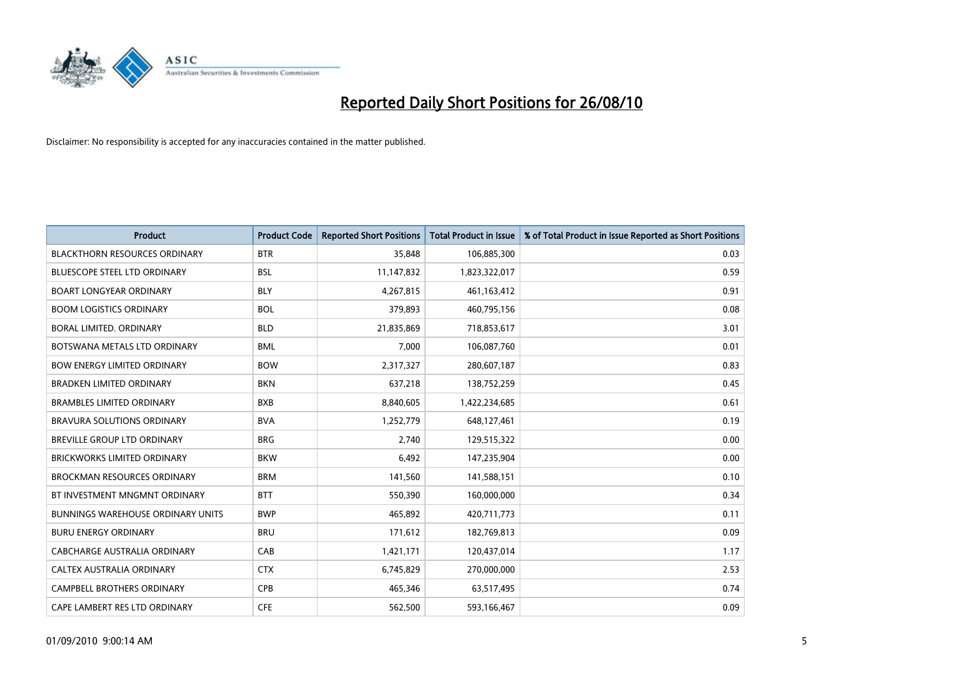

| <b>Product</b>                           | <b>Product Code</b> | <b>Reported Short Positions</b> | <b>Total Product in Issue</b> | % of Total Product in Issue Reported as Short Positions |
|------------------------------------------|---------------------|---------------------------------|-------------------------------|---------------------------------------------------------|
| <b>BLACKTHORN RESOURCES ORDINARY</b>     | <b>BTR</b>          | 35,848                          | 106,885,300                   | 0.03                                                    |
| BLUESCOPE STEEL LTD ORDINARY             | <b>BSL</b>          | 11,147,832                      | 1,823,322,017                 | 0.59                                                    |
| <b>BOART LONGYEAR ORDINARY</b>           | <b>BLY</b>          | 4,267,815                       | 461, 163, 412                 | 0.91                                                    |
| <b>BOOM LOGISTICS ORDINARY</b>           | <b>BOL</b>          | 379,893                         | 460,795,156                   | 0.08                                                    |
| <b>BORAL LIMITED, ORDINARY</b>           | <b>BLD</b>          | 21,835,869                      | 718,853,617                   | 3.01                                                    |
| BOTSWANA METALS LTD ORDINARY             | <b>BML</b>          | 7,000                           | 106,087,760                   | 0.01                                                    |
| <b>BOW ENERGY LIMITED ORDINARY</b>       | <b>BOW</b>          | 2,317,327                       | 280,607,187                   | 0.83                                                    |
| <b>BRADKEN LIMITED ORDINARY</b>          | <b>BKN</b>          | 637,218                         | 138,752,259                   | 0.45                                                    |
| <b>BRAMBLES LIMITED ORDINARY</b>         | <b>BXB</b>          | 8,840,605                       | 1,422,234,685                 | 0.61                                                    |
| <b>BRAVURA SOLUTIONS ORDINARY</b>        | <b>BVA</b>          | 1,252,779                       | 648,127,461                   | 0.19                                                    |
| BREVILLE GROUP LTD ORDINARY              | <b>BRG</b>          | 2,740                           | 129,515,322                   | 0.00                                                    |
| <b>BRICKWORKS LIMITED ORDINARY</b>       | <b>BKW</b>          | 6,492                           | 147,235,904                   | 0.00                                                    |
| <b>BROCKMAN RESOURCES ORDINARY</b>       | <b>BRM</b>          | 141,560                         | 141,588,151                   | 0.10                                                    |
| BT INVESTMENT MNGMNT ORDINARY            | <b>BTT</b>          | 550,390                         | 160,000,000                   | 0.34                                                    |
| <b>BUNNINGS WAREHOUSE ORDINARY UNITS</b> | <b>BWP</b>          | 465,892                         | 420,711,773                   | 0.11                                                    |
| <b>BURU ENERGY ORDINARY</b>              | <b>BRU</b>          | 171,612                         | 182,769,813                   | 0.09                                                    |
| CABCHARGE AUSTRALIA ORDINARY             | CAB                 | 1,421,171                       | 120,437,014                   | 1.17                                                    |
| CALTEX AUSTRALIA ORDINARY                | <b>CTX</b>          | 6,745,829                       | 270,000,000                   | 2.53                                                    |
| CAMPBELL BROTHERS ORDINARY               | <b>CPB</b>          | 465,346                         | 63,517,495                    | 0.74                                                    |
| CAPE LAMBERT RES LTD ORDINARY            | <b>CFE</b>          | 562,500                         | 593,166,467                   | 0.09                                                    |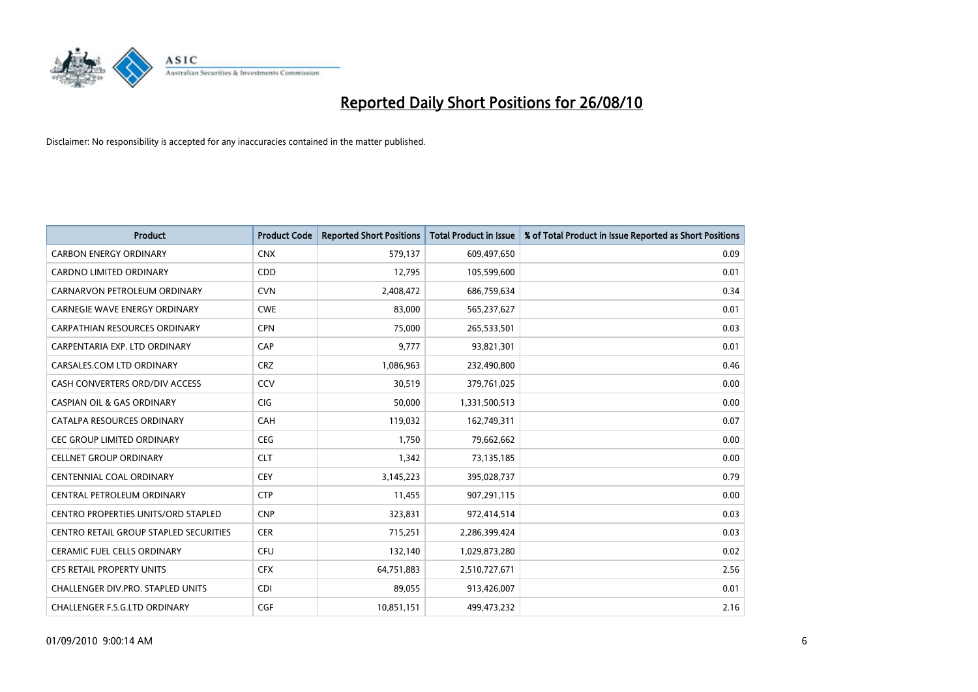

| <b>Product</b>                                | <b>Product Code</b> | <b>Reported Short Positions</b> | <b>Total Product in Issue</b> | % of Total Product in Issue Reported as Short Positions |
|-----------------------------------------------|---------------------|---------------------------------|-------------------------------|---------------------------------------------------------|
| <b>CARBON ENERGY ORDINARY</b>                 | <b>CNX</b>          | 579,137                         | 609,497,650                   | 0.09                                                    |
| <b>CARDNO LIMITED ORDINARY</b>                | CDD                 | 12,795                          | 105,599,600                   | 0.01                                                    |
| CARNARVON PETROLEUM ORDINARY                  | <b>CVN</b>          | 2,408,472                       | 686,759,634                   | 0.34                                                    |
| CARNEGIE WAVE ENERGY ORDINARY                 | <b>CWE</b>          | 83,000                          | 565,237,627                   | 0.01                                                    |
| <b>CARPATHIAN RESOURCES ORDINARY</b>          | <b>CPN</b>          | 75.000                          | 265,533,501                   | 0.03                                                    |
| CARPENTARIA EXP. LTD ORDINARY                 | CAP                 | 9,777                           | 93,821,301                    | 0.01                                                    |
| CARSALES.COM LTD ORDINARY                     | <b>CRZ</b>          | 1,086,963                       | 232,490,800                   | 0.46                                                    |
| CASH CONVERTERS ORD/DIV ACCESS                | CCV                 | 30,519                          | 379,761,025                   | 0.00                                                    |
| <b>CASPIAN OIL &amp; GAS ORDINARY</b>         | <b>CIG</b>          | 50,000                          | 1,331,500,513                 | 0.00                                                    |
| CATALPA RESOURCES ORDINARY                    | CAH                 | 119,032                         | 162,749,311                   | 0.07                                                    |
| <b>CEC GROUP LIMITED ORDINARY</b>             | <b>CEG</b>          | 1,750                           | 79,662,662                    | 0.00                                                    |
| <b>CELLNET GROUP ORDINARY</b>                 | <b>CLT</b>          | 1,342                           | 73,135,185                    | 0.00                                                    |
| <b>CENTENNIAL COAL ORDINARY</b>               | CEY                 | 3,145,223                       | 395,028,737                   | 0.79                                                    |
| CENTRAL PETROLEUM ORDINARY                    | <b>CTP</b>          | 11,455                          | 907,291,115                   | 0.00                                                    |
| CENTRO PROPERTIES UNITS/ORD STAPLED           | <b>CNP</b>          | 323,831                         | 972,414,514                   | 0.03                                                    |
| <b>CENTRO RETAIL GROUP STAPLED SECURITIES</b> | <b>CER</b>          | 715,251                         | 2,286,399,424                 | 0.03                                                    |
| <b>CERAMIC FUEL CELLS ORDINARY</b>            | CFU                 | 132,140                         | 1,029,873,280                 | 0.02                                                    |
| CFS RETAIL PROPERTY UNITS                     | <b>CFX</b>          | 64,751,883                      | 2,510,727,671                 | 2.56                                                    |
| <b>CHALLENGER DIV.PRO. STAPLED UNITS</b>      | <b>CDI</b>          | 89,055                          | 913,426,007                   | 0.01                                                    |
| CHALLENGER F.S.G.LTD ORDINARY                 | CGF                 | 10,851,151                      | 499,473,232                   | 2.16                                                    |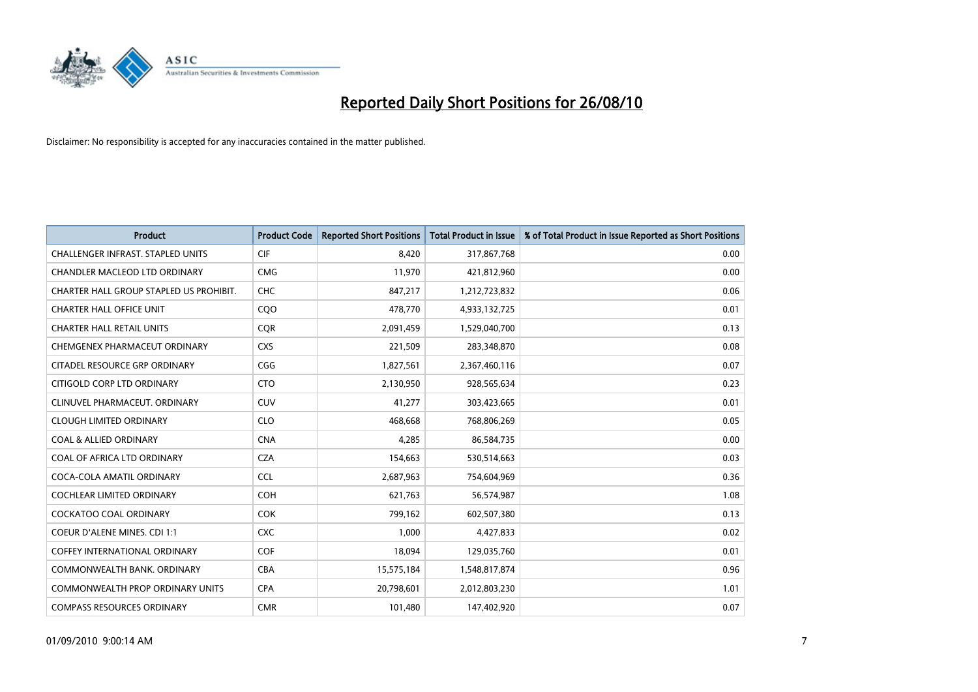

| <b>Product</b>                           | <b>Product Code</b> | <b>Reported Short Positions</b> | <b>Total Product in Issue</b> | % of Total Product in Issue Reported as Short Positions |
|------------------------------------------|---------------------|---------------------------------|-------------------------------|---------------------------------------------------------|
| <b>CHALLENGER INFRAST, STAPLED UNITS</b> | <b>CIF</b>          | 8,420                           | 317,867,768                   | 0.00                                                    |
| <b>CHANDLER MACLEOD LTD ORDINARY</b>     | <b>CMG</b>          | 11,970                          | 421,812,960                   | 0.00                                                    |
| CHARTER HALL GROUP STAPLED US PROHIBIT.  | <b>CHC</b>          | 847,217                         | 1,212,723,832                 | 0.06                                                    |
| <b>CHARTER HALL OFFICE UNIT</b>          | COO                 | 478,770                         | 4,933,132,725                 | 0.01                                                    |
| <b>CHARTER HALL RETAIL UNITS</b>         | <b>COR</b>          | 2,091,459                       | 1,529,040,700                 | 0.13                                                    |
| CHEMGENEX PHARMACEUT ORDINARY            | <b>CXS</b>          | 221,509                         | 283,348,870                   | 0.08                                                    |
| CITADEL RESOURCE GRP ORDINARY            | CGG                 | 1,827,561                       | 2,367,460,116                 | 0.07                                                    |
| CITIGOLD CORP LTD ORDINARY               | <b>CTO</b>          | 2,130,950                       | 928,565,634                   | 0.23                                                    |
| CLINUVEL PHARMACEUT. ORDINARY            | <b>CUV</b>          | 41,277                          | 303,423,665                   | 0.01                                                    |
| <b>CLOUGH LIMITED ORDINARY</b>           | <b>CLO</b>          | 468.668                         | 768,806,269                   | 0.05                                                    |
| <b>COAL &amp; ALLIED ORDINARY</b>        | <b>CNA</b>          | 4,285                           | 86,584,735                    | 0.00                                                    |
| COAL OF AFRICA LTD ORDINARY              | <b>CZA</b>          | 154,663                         | 530,514,663                   | 0.03                                                    |
| COCA-COLA AMATIL ORDINARY                | <b>CCL</b>          | 2,687,963                       | 754,604,969                   | 0.36                                                    |
| <b>COCHLEAR LIMITED ORDINARY</b>         | COH                 | 621.763                         | 56,574,987                    | 1.08                                                    |
| <b>COCKATOO COAL ORDINARY</b>            | <b>COK</b>          | 799,162                         | 602,507,380                   | 0.13                                                    |
| <b>COEUR D'ALENE MINES. CDI 1:1</b>      | <b>CXC</b>          | 1,000                           | 4,427,833                     | 0.02                                                    |
| <b>COFFEY INTERNATIONAL ORDINARY</b>     | COF                 | 18,094                          | 129,035,760                   | 0.01                                                    |
| COMMONWEALTH BANK, ORDINARY              | <b>CBA</b>          | 15,575,184                      | 1,548,817,874                 | 0.96                                                    |
| <b>COMMONWEALTH PROP ORDINARY UNITS</b>  | <b>CPA</b>          | 20,798,601                      | 2,012,803,230                 | 1.01                                                    |
| <b>COMPASS RESOURCES ORDINARY</b>        | <b>CMR</b>          | 101,480                         | 147,402,920                   | 0.07                                                    |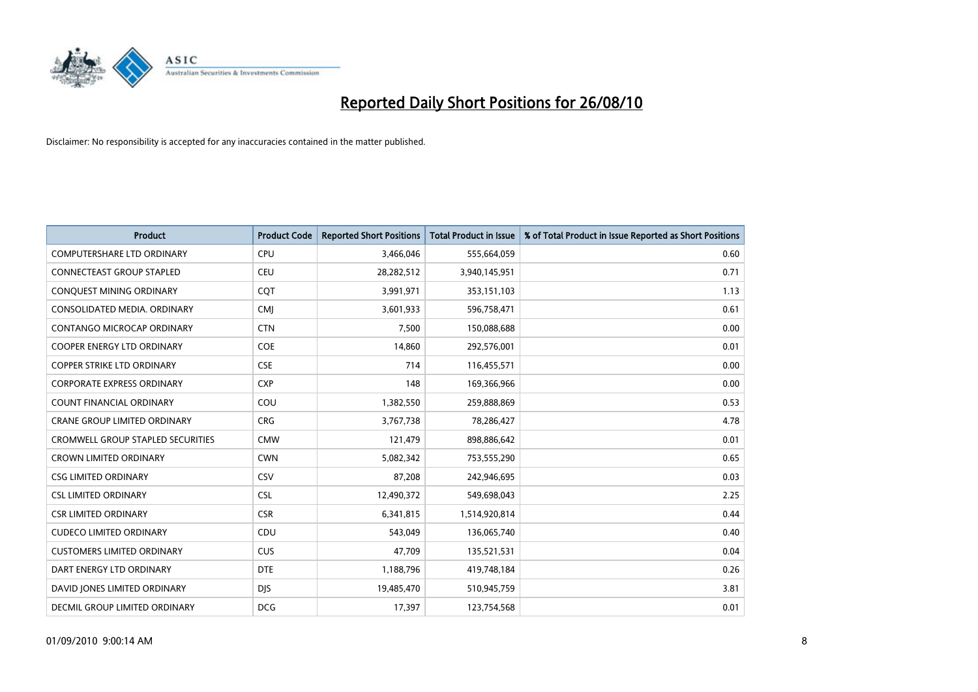

| <b>Product</b>                      | <b>Product Code</b> | <b>Reported Short Positions</b> | <b>Total Product in Issue</b> | % of Total Product in Issue Reported as Short Positions |
|-------------------------------------|---------------------|---------------------------------|-------------------------------|---------------------------------------------------------|
| <b>COMPUTERSHARE LTD ORDINARY</b>   | CPU                 | 3,466,046                       | 555,664,059                   | 0.60                                                    |
| <b>CONNECTEAST GROUP STAPLED</b>    | CEU                 | 28,282,512                      | 3,940,145,951                 | 0.71                                                    |
| CONQUEST MINING ORDINARY            | CQT                 | 3,991,971                       | 353,151,103                   | 1.13                                                    |
| CONSOLIDATED MEDIA. ORDINARY        | <b>CMI</b>          | 3,601,933                       | 596,758,471                   | 0.61                                                    |
| <b>CONTANGO MICROCAP ORDINARY</b>   | <b>CTN</b>          | 7,500                           | 150,088,688                   | 0.00                                                    |
| <b>COOPER ENERGY LTD ORDINARY</b>   | <b>COE</b>          | 14,860                          | 292,576,001                   | 0.01                                                    |
| <b>COPPER STRIKE LTD ORDINARY</b>   | <b>CSE</b>          | 714                             | 116,455,571                   | 0.00                                                    |
| <b>CORPORATE EXPRESS ORDINARY</b>   | <b>CXP</b>          | 148                             | 169,366,966                   | 0.00                                                    |
| COUNT FINANCIAL ORDINARY            | COU                 | 1,382,550                       | 259,888,869                   | 0.53                                                    |
| <b>CRANE GROUP LIMITED ORDINARY</b> | <b>CRG</b>          | 3,767,738                       | 78,286,427                    | 4.78                                                    |
| CROMWELL GROUP STAPLED SECURITIES   | <b>CMW</b>          | 121,479                         | 898,886,642                   | 0.01                                                    |
| <b>CROWN LIMITED ORDINARY</b>       | <b>CWN</b>          | 5,082,342                       | 753,555,290                   | 0.65                                                    |
| <b>CSG LIMITED ORDINARY</b>         | CSV                 | 87,208                          | 242,946,695                   | 0.03                                                    |
| <b>CSL LIMITED ORDINARY</b>         | <b>CSL</b>          | 12,490,372                      | 549,698,043                   | 2.25                                                    |
| <b>CSR LIMITED ORDINARY</b>         | <b>CSR</b>          | 6,341,815                       | 1,514,920,814                 | 0.44                                                    |
| <b>CUDECO LIMITED ORDINARY</b>      | CDU                 | 543,049                         | 136,065,740                   | 0.40                                                    |
| <b>CUSTOMERS LIMITED ORDINARY</b>   | <b>CUS</b>          | 47,709                          | 135,521,531                   | 0.04                                                    |
| DART ENERGY LTD ORDINARY            | <b>DTE</b>          | 1,188,796                       | 419,748,184                   | 0.26                                                    |
| DAVID JONES LIMITED ORDINARY        | <b>DIS</b>          | 19,485,470                      | 510,945,759                   | 3.81                                                    |
| DECMIL GROUP LIMITED ORDINARY       | <b>DCG</b>          | 17,397                          | 123,754,568                   | 0.01                                                    |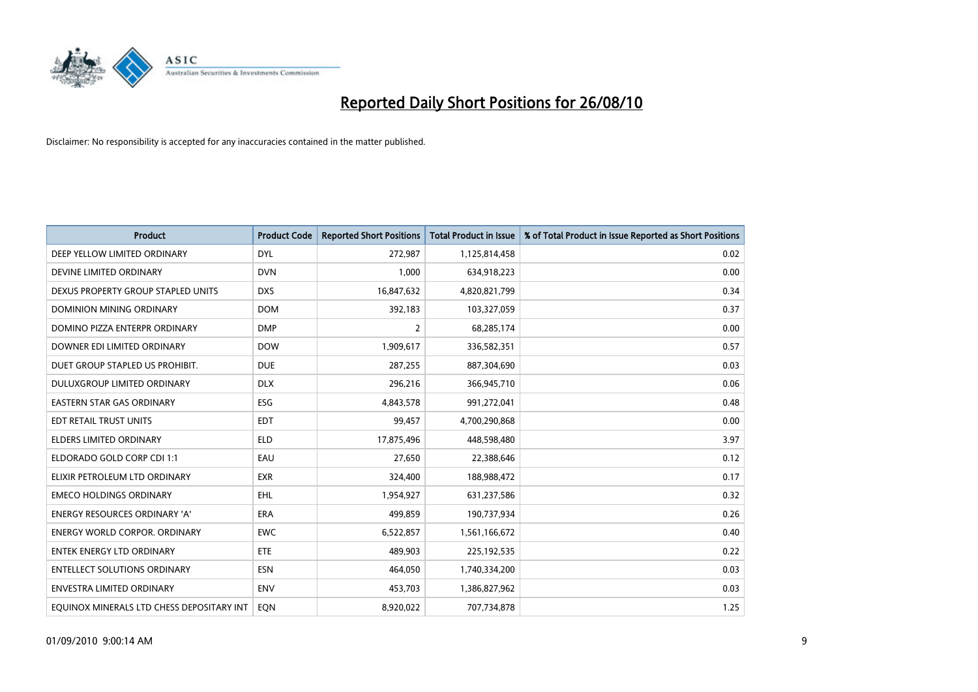

| <b>Product</b>                            | <b>Product Code</b> | <b>Reported Short Positions</b> | <b>Total Product in Issue</b> | % of Total Product in Issue Reported as Short Positions |
|-------------------------------------------|---------------------|---------------------------------|-------------------------------|---------------------------------------------------------|
| DEEP YELLOW LIMITED ORDINARY              | <b>DYL</b>          | 272,987                         | 1,125,814,458                 | 0.02                                                    |
| DEVINE LIMITED ORDINARY                   | <b>DVN</b>          | 1,000                           | 634,918,223                   | 0.00                                                    |
| DEXUS PROPERTY GROUP STAPLED UNITS        | <b>DXS</b>          | 16,847,632                      | 4,820,821,799                 | 0.34                                                    |
| <b>DOMINION MINING ORDINARY</b>           | <b>DOM</b>          | 392,183                         | 103,327,059                   | 0.37                                                    |
| DOMINO PIZZA ENTERPR ORDINARY             | <b>DMP</b>          | $\overline{2}$                  | 68,285,174                    | 0.00                                                    |
| DOWNER EDI LIMITED ORDINARY               | <b>DOW</b>          | 1,909,617                       | 336,582,351                   | 0.57                                                    |
| DUET GROUP STAPLED US PROHIBIT.           | <b>DUE</b>          | 287,255                         | 887,304,690                   | 0.03                                                    |
| DULUXGROUP LIMITED ORDINARY               | <b>DLX</b>          | 296,216                         | 366,945,710                   | 0.06                                                    |
| EASTERN STAR GAS ORDINARY                 | ESG                 | 4,843,578                       | 991,272,041                   | 0.48                                                    |
| EDT RETAIL TRUST UNITS                    | <b>EDT</b>          | 99,457                          | 4,700,290,868                 | 0.00                                                    |
| <b>ELDERS LIMITED ORDINARY</b>            | <b>ELD</b>          | 17,875,496                      | 448,598,480                   | 3.97                                                    |
| ELDORADO GOLD CORP CDI 1:1                | EAU                 | 27,650                          | 22,388,646                    | 0.12                                                    |
| ELIXIR PETROLEUM LTD ORDINARY             | <b>EXR</b>          | 324,400                         | 188,988,472                   | 0.17                                                    |
| <b>EMECO HOLDINGS ORDINARY</b>            | <b>EHL</b>          | 1,954,927                       | 631,237,586                   | 0.32                                                    |
| <b>ENERGY RESOURCES ORDINARY 'A'</b>      | <b>ERA</b>          | 499,859                         | 190,737,934                   | 0.26                                                    |
| <b>ENERGY WORLD CORPOR. ORDINARY</b>      | <b>EWC</b>          | 6,522,857                       | 1,561,166,672                 | 0.40                                                    |
| <b>ENTEK ENERGY LTD ORDINARY</b>          | ETE                 | 489,903                         | 225,192,535                   | 0.22                                                    |
| <b>ENTELLECT SOLUTIONS ORDINARY</b>       | <b>ESN</b>          | 464,050                         | 1,740,334,200                 | 0.03                                                    |
| <b>ENVESTRA LIMITED ORDINARY</b>          | <b>ENV</b>          | 453,703                         | 1,386,827,962                 | 0.03                                                    |
| EQUINOX MINERALS LTD CHESS DEPOSITARY INT | <b>EON</b>          | 8,920,022                       | 707,734,878                   | 1.25                                                    |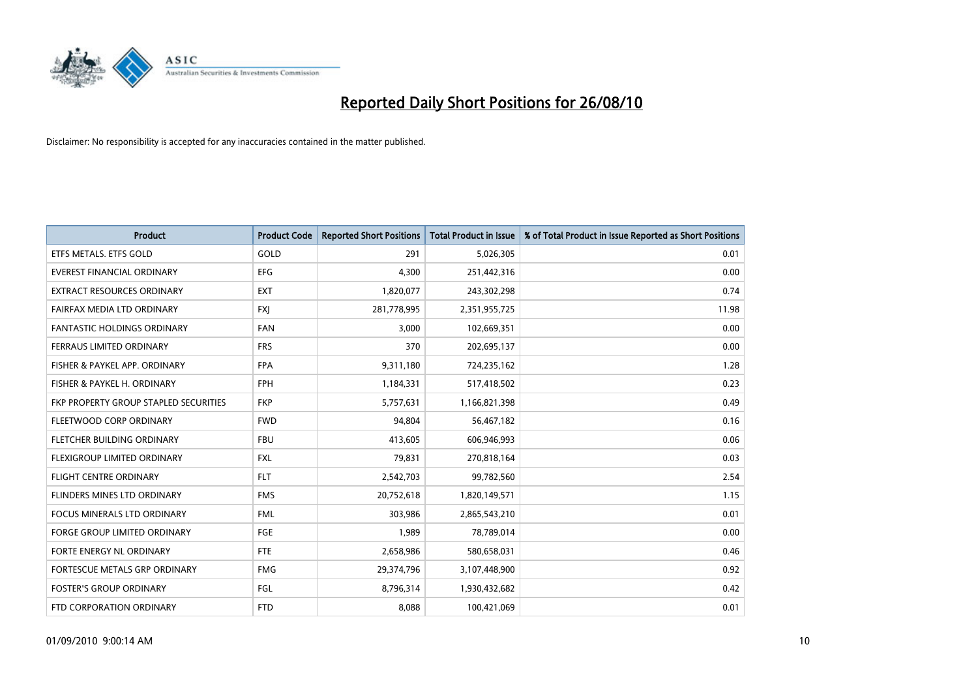

| <b>Product</b>                        | <b>Product Code</b> | <b>Reported Short Positions</b> | <b>Total Product in Issue</b> | % of Total Product in Issue Reported as Short Positions |
|---------------------------------------|---------------------|---------------------------------|-------------------------------|---------------------------------------------------------|
| ETFS METALS. ETFS GOLD                | GOLD                | 291                             | 5,026,305                     | 0.01                                                    |
| EVEREST FINANCIAL ORDINARY            | <b>EFG</b>          | 4,300                           | 251,442,316                   | 0.00                                                    |
| <b>EXTRACT RESOURCES ORDINARY</b>     | <b>EXT</b>          | 1,820,077                       | 243,302,298                   | 0.74                                                    |
| FAIRFAX MEDIA LTD ORDINARY            | <b>FXJ</b>          | 281,778,995                     | 2,351,955,725                 | 11.98                                                   |
| <b>FANTASTIC HOLDINGS ORDINARY</b>    | <b>FAN</b>          | 3,000                           | 102,669,351                   | 0.00                                                    |
| FERRAUS LIMITED ORDINARY              | <b>FRS</b>          | 370                             | 202,695,137                   | 0.00                                                    |
| FISHER & PAYKEL APP. ORDINARY         | <b>FPA</b>          | 9,311,180                       | 724,235,162                   | 1.28                                                    |
| FISHER & PAYKEL H. ORDINARY           | <b>FPH</b>          | 1,184,331                       | 517,418,502                   | 0.23                                                    |
| FKP PROPERTY GROUP STAPLED SECURITIES | <b>FKP</b>          | 5,757,631                       | 1,166,821,398                 | 0.49                                                    |
| FLEETWOOD CORP ORDINARY               | <b>FWD</b>          | 94,804                          | 56,467,182                    | 0.16                                                    |
| FLETCHER BUILDING ORDINARY            | <b>FBU</b>          | 413,605                         | 606,946,993                   | 0.06                                                    |
| FLEXIGROUP LIMITED ORDINARY           | <b>FXL</b>          | 79,831                          | 270,818,164                   | 0.03                                                    |
| <b>FLIGHT CENTRE ORDINARY</b>         | <b>FLT</b>          | 2,542,703                       | 99,782,560                    | 2.54                                                    |
| FLINDERS MINES LTD ORDINARY           | <b>FMS</b>          | 20,752,618                      | 1,820,149,571                 | 1.15                                                    |
| <b>FOCUS MINERALS LTD ORDINARY</b>    | <b>FML</b>          | 303.986                         | 2,865,543,210                 | 0.01                                                    |
| <b>FORGE GROUP LIMITED ORDINARY</b>   | <b>FGE</b>          | 1,989                           | 78,789,014                    | 0.00                                                    |
| FORTE ENERGY NL ORDINARY              | <b>FTE</b>          | 2,658,986                       | 580,658,031                   | 0.46                                                    |
| FORTESCUE METALS GRP ORDINARY         | <b>FMG</b>          | 29,374,796                      | 3,107,448,900                 | 0.92                                                    |
| <b>FOSTER'S GROUP ORDINARY</b>        | FGL                 | 8,796,314                       | 1,930,432,682                 | 0.42                                                    |
| FTD CORPORATION ORDINARY              | <b>FTD</b>          | 8,088                           | 100,421,069                   | 0.01                                                    |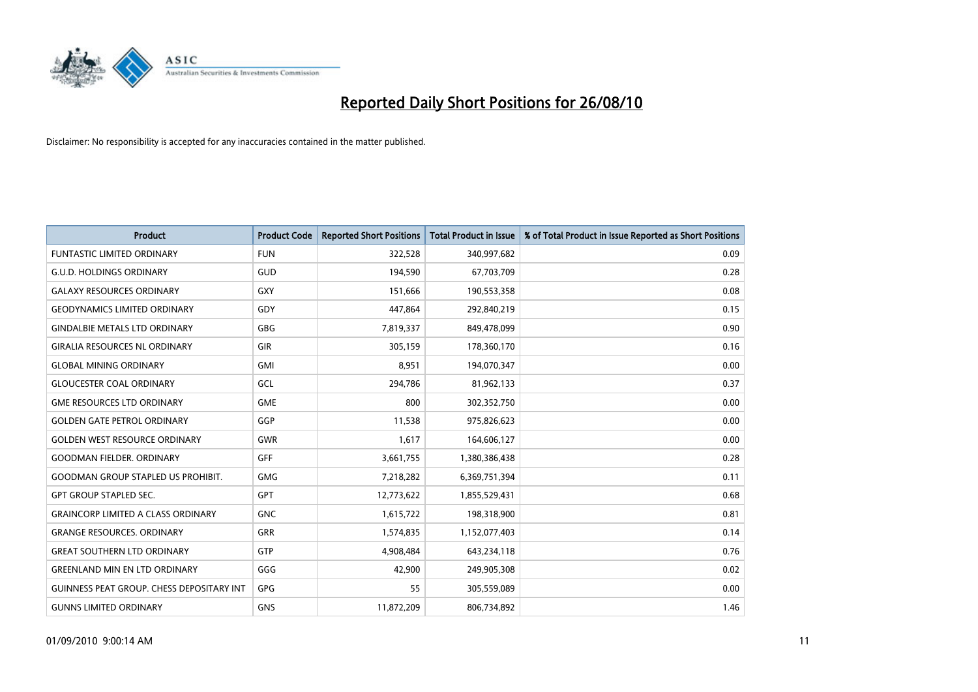

| <b>Product</b>                                   | <b>Product Code</b> | <b>Reported Short Positions</b> | <b>Total Product in Issue</b> | % of Total Product in Issue Reported as Short Positions |
|--------------------------------------------------|---------------------|---------------------------------|-------------------------------|---------------------------------------------------------|
| <b>FUNTASTIC LIMITED ORDINARY</b>                | <b>FUN</b>          | 322,528                         | 340,997,682                   | 0.09                                                    |
| <b>G.U.D. HOLDINGS ORDINARY</b>                  | GUD                 | 194,590                         | 67,703,709                    | 0.28                                                    |
| <b>GALAXY RESOURCES ORDINARY</b>                 | <b>GXY</b>          | 151.666                         | 190,553,358                   | 0.08                                                    |
| <b>GEODYNAMICS LIMITED ORDINARY</b>              | GDY                 | 447,864                         | 292,840,219                   | 0.15                                                    |
| <b>GINDALBIE METALS LTD ORDINARY</b>             | <b>GBG</b>          | 7,819,337                       | 849,478,099                   | 0.90                                                    |
| <b>GIRALIA RESOURCES NL ORDINARY</b>             | <b>GIR</b>          | 305,159                         | 178,360,170                   | 0.16                                                    |
| <b>GLOBAL MINING ORDINARY</b>                    | <b>GMI</b>          | 8,951                           | 194,070,347                   | 0.00                                                    |
| <b>GLOUCESTER COAL ORDINARY</b>                  | GCL                 | 294,786                         | 81,962,133                    | 0.37                                                    |
| <b>GME RESOURCES LTD ORDINARY</b>                | <b>GME</b>          | 800                             | 302,352,750                   | 0.00                                                    |
| <b>GOLDEN GATE PETROL ORDINARY</b>               | GGP                 | 11,538                          | 975,826,623                   | 0.00                                                    |
| <b>GOLDEN WEST RESOURCE ORDINARY</b>             | <b>GWR</b>          | 1,617                           | 164,606,127                   | 0.00                                                    |
| <b>GOODMAN FIELDER, ORDINARY</b>                 | <b>GFF</b>          | 3,661,755                       | 1,380,386,438                 | 0.28                                                    |
| <b>GOODMAN GROUP STAPLED US PROHIBIT.</b>        | <b>GMG</b>          | 7,218,282                       | 6,369,751,394                 | 0.11                                                    |
| <b>GPT GROUP STAPLED SEC.</b>                    | <b>GPT</b>          | 12,773,622                      | 1,855,529,431                 | 0.68                                                    |
| <b>GRAINCORP LIMITED A CLASS ORDINARY</b>        | <b>GNC</b>          | 1,615,722                       | 198,318,900                   | 0.81                                                    |
| <b>GRANGE RESOURCES. ORDINARY</b>                | <b>GRR</b>          | 1,574,835                       | 1,152,077,403                 | 0.14                                                    |
| <b>GREAT SOUTHERN LTD ORDINARY</b>               | <b>GTP</b>          | 4,908,484                       | 643,234,118                   | 0.76                                                    |
| <b>GREENLAND MIN EN LTD ORDINARY</b>             | GGG                 | 42,900                          | 249,905,308                   | 0.02                                                    |
| <b>GUINNESS PEAT GROUP. CHESS DEPOSITARY INT</b> | <b>GPG</b>          | 55                              | 305,559,089                   | 0.00                                                    |
| <b>GUNNS LIMITED ORDINARY</b>                    | <b>GNS</b>          | 11,872,209                      | 806,734,892                   | 1.46                                                    |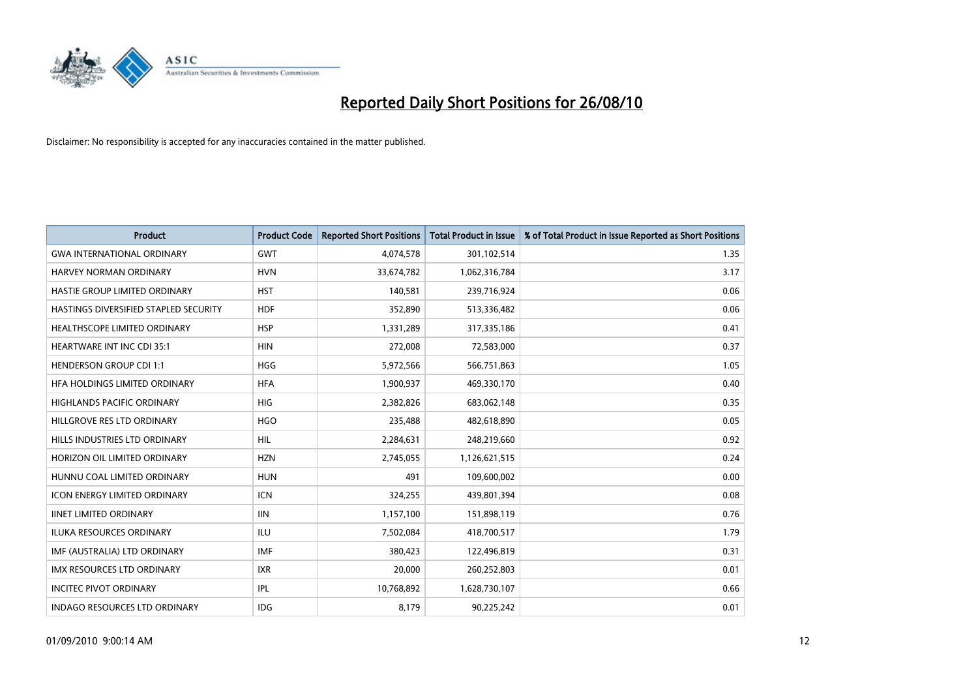

| <b>Product</b>                        | <b>Product Code</b> | <b>Reported Short Positions</b> | <b>Total Product in Issue</b> | % of Total Product in Issue Reported as Short Positions |
|---------------------------------------|---------------------|---------------------------------|-------------------------------|---------------------------------------------------------|
| <b>GWA INTERNATIONAL ORDINARY</b>     | <b>GWT</b>          | 4,074,578                       | 301,102,514                   | 1.35                                                    |
| <b>HARVEY NORMAN ORDINARY</b>         | <b>HVN</b>          | 33,674,782                      | 1,062,316,784                 | 3.17                                                    |
| HASTIE GROUP LIMITED ORDINARY         | <b>HST</b>          | 140,581                         | 239,716,924                   | 0.06                                                    |
| HASTINGS DIVERSIFIED STAPLED SECURITY | <b>HDF</b>          | 352,890                         | 513,336,482                   | 0.06                                                    |
| HEALTHSCOPE LIMITED ORDINARY          | <b>HSP</b>          | 1,331,289                       | 317,335,186                   | 0.41                                                    |
| <b>HEARTWARE INT INC CDI 35:1</b>     | <b>HIN</b>          | 272,008                         | 72,583,000                    | 0.37                                                    |
| <b>HENDERSON GROUP CDI 1:1</b>        | <b>HGG</b>          | 5,972,566                       | 566,751,863                   | 1.05                                                    |
| HFA HOLDINGS LIMITED ORDINARY         | <b>HFA</b>          | 1,900,937                       | 469,330,170                   | 0.40                                                    |
| HIGHLANDS PACIFIC ORDINARY            | <b>HIG</b>          | 2,382,826                       | 683,062,148                   | 0.35                                                    |
| HILLGROVE RES LTD ORDINARY            | <b>HGO</b>          | 235,488                         | 482,618,890                   | 0.05                                                    |
| HILLS INDUSTRIES LTD ORDINARY         | <b>HIL</b>          | 2,284,631                       | 248,219,660                   | 0.92                                                    |
| HORIZON OIL LIMITED ORDINARY          | <b>HZN</b>          | 2,745,055                       | 1,126,621,515                 | 0.24                                                    |
| HUNNU COAL LIMITED ORDINARY           | <b>HUN</b>          | 491                             | 109,600,002                   | 0.00                                                    |
| <b>ICON ENERGY LIMITED ORDINARY</b>   | <b>ICN</b>          | 324,255                         | 439,801,394                   | 0.08                                                    |
| <b>IINET LIMITED ORDINARY</b>         | <b>IIN</b>          | 1,157,100                       | 151,898,119                   | 0.76                                                    |
| <b>ILUKA RESOURCES ORDINARY</b>       | <b>ILU</b>          | 7,502,084                       | 418,700,517                   | 1.79                                                    |
| IMF (AUSTRALIA) LTD ORDINARY          | <b>IMF</b>          | 380,423                         | 122,496,819                   | 0.31                                                    |
| IMX RESOURCES LTD ORDINARY            | <b>IXR</b>          | 20,000                          | 260,252,803                   | 0.01                                                    |
| <b>INCITEC PIVOT ORDINARY</b>         | IPL                 | 10,768,892                      | 1,628,730,107                 | 0.66                                                    |
| <b>INDAGO RESOURCES LTD ORDINARY</b>  | <b>IDG</b>          | 8,179                           | 90,225,242                    | 0.01                                                    |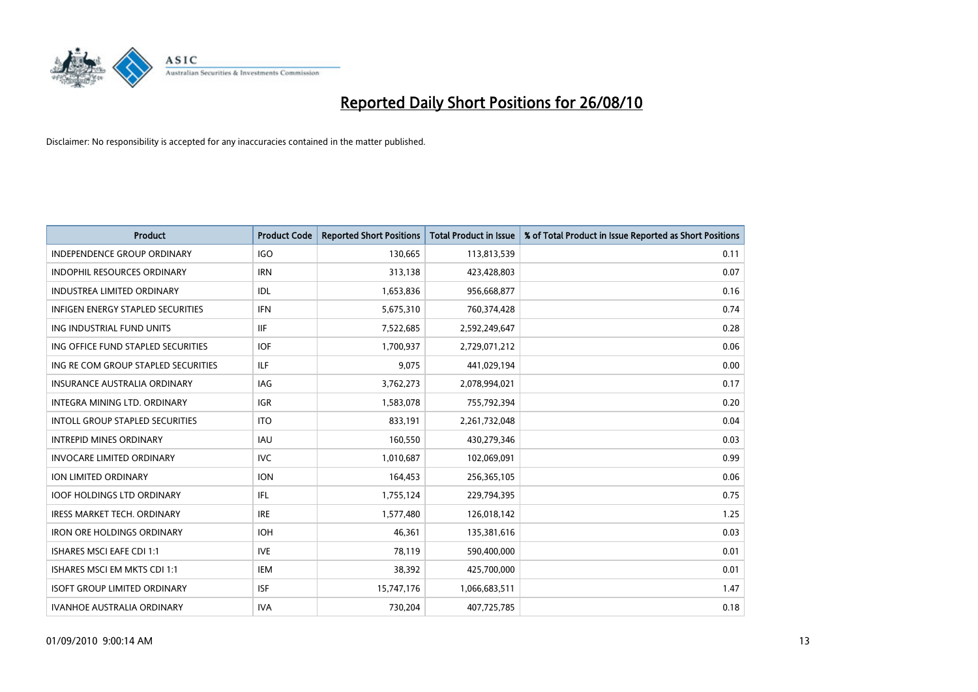

| <b>Product</b>                         | <b>Product Code</b> | <b>Reported Short Positions</b> | <b>Total Product in Issue</b> | % of Total Product in Issue Reported as Short Positions |
|----------------------------------------|---------------------|---------------------------------|-------------------------------|---------------------------------------------------------|
| <b>INDEPENDENCE GROUP ORDINARY</b>     | <b>IGO</b>          | 130,665                         | 113,813,539                   | 0.11                                                    |
| INDOPHIL RESOURCES ORDINARY            | <b>IRN</b>          | 313,138                         | 423,428,803                   | 0.07                                                    |
| <b>INDUSTREA LIMITED ORDINARY</b>      | IDL                 | 1,653,836                       | 956,668,877                   | 0.16                                                    |
| INFIGEN ENERGY STAPLED SECURITIES      | <b>IFN</b>          | 5,675,310                       | 760,374,428                   | 0.74                                                    |
| ING INDUSTRIAL FUND UNITS              | <b>IIF</b>          | 7,522,685                       | 2,592,249,647                 | 0.28                                                    |
| ING OFFICE FUND STAPLED SECURITIES     | <b>IOF</b>          | 1,700,937                       | 2,729,071,212                 | 0.06                                                    |
| ING RE COM GROUP STAPLED SECURITIES    | <b>ILF</b>          | 9,075                           | 441,029,194                   | 0.00                                                    |
| <b>INSURANCE AUSTRALIA ORDINARY</b>    | <b>IAG</b>          | 3,762,273                       | 2,078,994,021                 | 0.17                                                    |
| INTEGRA MINING LTD. ORDINARY           | <b>IGR</b>          | 1,583,078                       | 755,792,394                   | 0.20                                                    |
| <b>INTOLL GROUP STAPLED SECURITIES</b> | <b>ITO</b>          | 833,191                         | 2,261,732,048                 | 0.04                                                    |
| <b>INTREPID MINES ORDINARY</b>         | <b>IAU</b>          | 160,550                         | 430,279,346                   | 0.03                                                    |
| <b>INVOCARE LIMITED ORDINARY</b>       | <b>IVC</b>          | 1,010,687                       | 102,069,091                   | 0.99                                                    |
| ION LIMITED ORDINARY                   | <b>ION</b>          | 164,453                         | 256,365,105                   | 0.06                                                    |
| <b>IOOF HOLDINGS LTD ORDINARY</b>      | <b>IFL</b>          | 1,755,124                       | 229,794,395                   | 0.75                                                    |
| <b>IRESS MARKET TECH. ORDINARY</b>     | <b>IRE</b>          | 1,577,480                       | 126,018,142                   | 1.25                                                    |
| <b>IRON ORE HOLDINGS ORDINARY</b>      | <b>IOH</b>          | 46,361                          | 135,381,616                   | 0.03                                                    |
| <b>ISHARES MSCI EAFE CDI 1:1</b>       | <b>IVE</b>          | 78,119                          | 590,400,000                   | 0.01                                                    |
| ISHARES MSCI EM MKTS CDI 1:1           | <b>IEM</b>          | 38,392                          | 425,700,000                   | 0.01                                                    |
| <b>ISOFT GROUP LIMITED ORDINARY</b>    | <b>ISF</b>          | 15,747,176                      | 1,066,683,511                 | 1.47                                                    |
| IVANHOE AUSTRALIA ORDINARY             | <b>IVA</b>          | 730,204                         | 407,725,785                   | 0.18                                                    |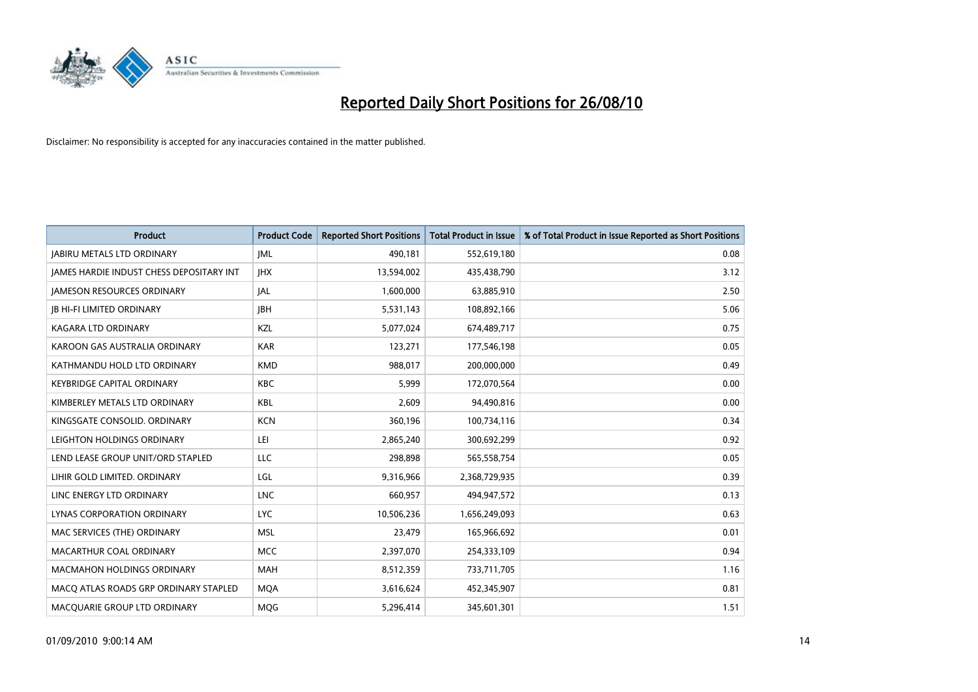

| <b>Product</b>                                  | <b>Product Code</b> | <b>Reported Short Positions</b> | Total Product in Issue | % of Total Product in Issue Reported as Short Positions |
|-------------------------------------------------|---------------------|---------------------------------|------------------------|---------------------------------------------------------|
| <b>JABIRU METALS LTD ORDINARY</b>               | <b>JML</b>          | 490,181                         | 552,619,180            | 0.08                                                    |
| <b>JAMES HARDIE INDUST CHESS DEPOSITARY INT</b> | <b>IHX</b>          | 13,594,002                      | 435,438,790            | 3.12                                                    |
| <b>JAMESON RESOURCES ORDINARY</b>               | JAL                 | 1,600,000                       | 63,885,910             | 2.50                                                    |
| <b>JB HI-FI LIMITED ORDINARY</b>                | <b>IBH</b>          | 5,531,143                       | 108,892,166            | 5.06                                                    |
| <b>KAGARA LTD ORDINARY</b>                      | KZL                 | 5,077,024                       | 674,489,717            | 0.75                                                    |
| KAROON GAS AUSTRALIA ORDINARY                   | <b>KAR</b>          | 123,271                         | 177,546,198            | 0.05                                                    |
| KATHMANDU HOLD LTD ORDINARY                     | <b>KMD</b>          | 988,017                         | 200,000,000            | 0.49                                                    |
| <b>KEYBRIDGE CAPITAL ORDINARY</b>               | <b>KBC</b>          | 5,999                           | 172,070,564            | 0.00                                                    |
| KIMBERLEY METALS LTD ORDINARY                   | <b>KBL</b>          | 2,609                           | 94,490,816             | 0.00                                                    |
| KINGSGATE CONSOLID, ORDINARY                    | <b>KCN</b>          | 360,196                         | 100,734,116            | 0.34                                                    |
| LEIGHTON HOLDINGS ORDINARY                      | LEI                 | 2,865,240                       | 300,692,299            | 0.92                                                    |
| LEND LEASE GROUP UNIT/ORD STAPLED               | LLC                 | 298,898                         | 565,558,754            | 0.05                                                    |
| LIHIR GOLD LIMITED. ORDINARY                    | LGL                 | 9,316,966                       | 2,368,729,935          | 0.39                                                    |
| LINC ENERGY LTD ORDINARY                        | <b>LNC</b>          | 660,957                         | 494,947,572            | 0.13                                                    |
| LYNAS CORPORATION ORDINARY                      | <b>LYC</b>          | 10,506,236                      | 1,656,249,093          | 0.63                                                    |
| MAC SERVICES (THE) ORDINARY                     | <b>MSL</b>          | 23,479                          | 165,966,692            | 0.01                                                    |
| MACARTHUR COAL ORDINARY                         | <b>MCC</b>          | 2,397,070                       | 254,333,109            | 0.94                                                    |
| <b>MACMAHON HOLDINGS ORDINARY</b>               | <b>MAH</b>          | 8,512,359                       | 733,711,705            | 1.16                                                    |
| MACO ATLAS ROADS GRP ORDINARY STAPLED           | <b>MOA</b>          | 3,616,624                       | 452,345,907            | 0.81                                                    |
| MACQUARIE GROUP LTD ORDINARY                    | <b>MOG</b>          | 5,296,414                       | 345,601,301            | 1.51                                                    |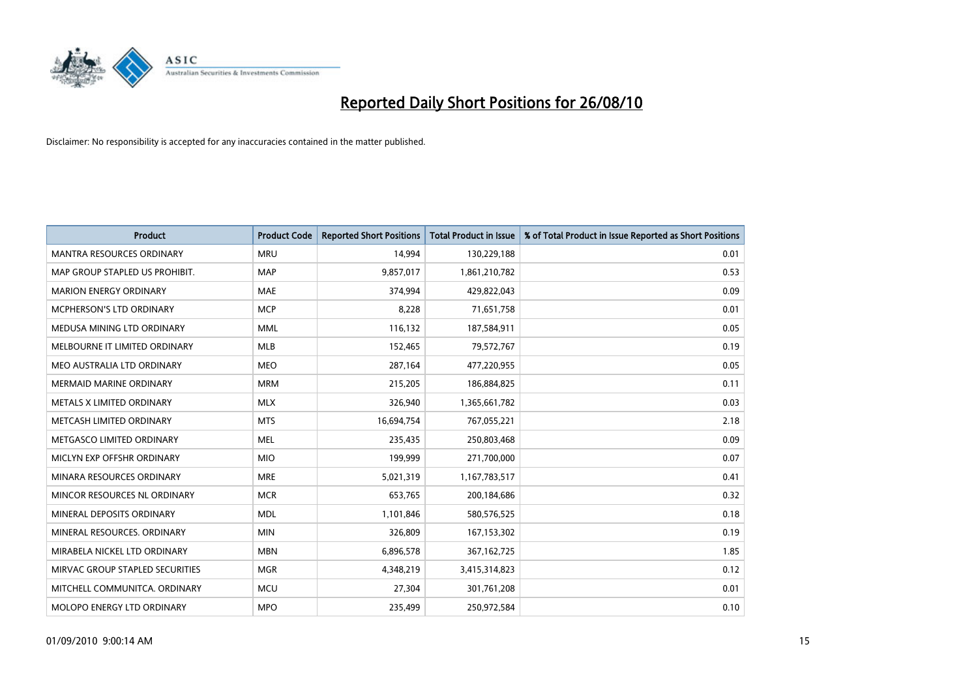

| <b>Product</b>                   | <b>Product Code</b> | <b>Reported Short Positions</b> | <b>Total Product in Issue</b> | % of Total Product in Issue Reported as Short Positions |
|----------------------------------|---------------------|---------------------------------|-------------------------------|---------------------------------------------------------|
| <b>MANTRA RESOURCES ORDINARY</b> | <b>MRU</b>          | 14,994                          | 130,229,188                   | 0.01                                                    |
| MAP GROUP STAPLED US PROHIBIT.   | <b>MAP</b>          | 9,857,017                       | 1,861,210,782                 | 0.53                                                    |
| MARION ENERGY ORDINARY           | <b>MAE</b>          | 374,994                         | 429,822,043                   | 0.09                                                    |
| MCPHERSON'S LTD ORDINARY         | <b>MCP</b>          | 8,228                           | 71,651,758                    | 0.01                                                    |
| MEDUSA MINING LTD ORDINARY       | <b>MML</b>          | 116,132                         | 187,584,911                   | 0.05                                                    |
| MELBOURNE IT LIMITED ORDINARY    | <b>MLB</b>          | 152,465                         | 79,572,767                    | 0.19                                                    |
| MEO AUSTRALIA LTD ORDINARY       | <b>MEO</b>          | 287,164                         | 477,220,955                   | 0.05                                                    |
| <b>MERMAID MARINE ORDINARY</b>   | <b>MRM</b>          | 215,205                         | 186,884,825                   | 0.11                                                    |
| METALS X LIMITED ORDINARY        | <b>MLX</b>          | 326,940                         | 1,365,661,782                 | 0.03                                                    |
| METCASH LIMITED ORDINARY         | <b>MTS</b>          | 16,694,754                      | 767,055,221                   | 2.18                                                    |
| METGASCO LIMITED ORDINARY        | <b>MEL</b>          | 235,435                         | 250,803,468                   | 0.09                                                    |
| MICLYN EXP OFFSHR ORDINARY       | <b>MIO</b>          | 199,999                         | 271,700,000                   | 0.07                                                    |
| MINARA RESOURCES ORDINARY        | <b>MRE</b>          | 5,021,319                       | 1,167,783,517                 | 0.41                                                    |
| MINCOR RESOURCES NL ORDINARY     | <b>MCR</b>          | 653,765                         | 200,184,686                   | 0.32                                                    |
| MINERAL DEPOSITS ORDINARY        | <b>MDL</b>          | 1,101,846                       | 580,576,525                   | 0.18                                                    |
| MINERAL RESOURCES. ORDINARY      | <b>MIN</b>          | 326,809                         | 167,153,302                   | 0.19                                                    |
| MIRABELA NICKEL LTD ORDINARY     | <b>MBN</b>          | 6,896,578                       | 367, 162, 725                 | 1.85                                                    |
| MIRVAC GROUP STAPLED SECURITIES  | <b>MGR</b>          | 4,348,219                       | 3,415,314,823                 | 0.12                                                    |
| MITCHELL COMMUNITCA, ORDINARY    | <b>MCU</b>          | 27,304                          | 301,761,208                   | 0.01                                                    |
| MOLOPO ENERGY LTD ORDINARY       | <b>MPO</b>          | 235,499                         | 250,972,584                   | 0.10                                                    |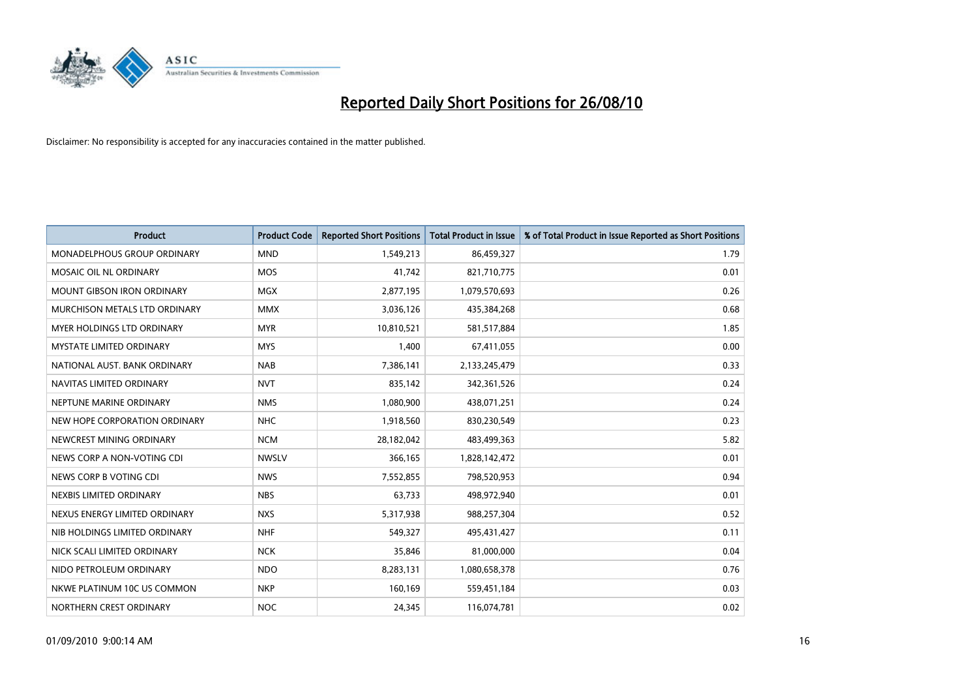

| <b>Product</b>                     | <b>Product Code</b> | <b>Reported Short Positions</b> | Total Product in Issue | % of Total Product in Issue Reported as Short Positions |
|------------------------------------|---------------------|---------------------------------|------------------------|---------------------------------------------------------|
| <b>MONADELPHOUS GROUP ORDINARY</b> | <b>MND</b>          | 1,549,213                       | 86,459,327             | 1.79                                                    |
| MOSAIC OIL NL ORDINARY             | <b>MOS</b>          | 41,742                          | 821,710,775            | 0.01                                                    |
| <b>MOUNT GIBSON IRON ORDINARY</b>  | <b>MGX</b>          | 2,877,195                       | 1,079,570,693          | 0.26                                                    |
| MURCHISON METALS LTD ORDINARY      | <b>MMX</b>          | 3,036,126                       | 435,384,268            | 0.68                                                    |
| <b>MYER HOLDINGS LTD ORDINARY</b>  | <b>MYR</b>          | 10,810,521                      | 581,517,884            | 1.85                                                    |
| <b>MYSTATE LIMITED ORDINARY</b>    | <b>MYS</b>          | 1,400                           | 67,411,055             | 0.00                                                    |
| NATIONAL AUST. BANK ORDINARY       | <b>NAB</b>          | 7,386,141                       | 2,133,245,479          | 0.33                                                    |
| NAVITAS LIMITED ORDINARY           | <b>NVT</b>          | 835,142                         | 342,361,526            | 0.24                                                    |
| NEPTUNE MARINE ORDINARY            | <b>NMS</b>          | 1,080,900                       | 438,071,251            | 0.24                                                    |
| NEW HOPE CORPORATION ORDINARY      | <b>NHC</b>          | 1,918,560                       | 830,230,549            | 0.23                                                    |
| NEWCREST MINING ORDINARY           | <b>NCM</b>          | 28,182,042                      | 483,499,363            | 5.82                                                    |
| NEWS CORP A NON-VOTING CDI         | <b>NWSLV</b>        | 366,165                         | 1,828,142,472          | 0.01                                                    |
| NEWS CORP B VOTING CDI             | <b>NWS</b>          | 7,552,855                       | 798,520,953            | 0.94                                                    |
| NEXBIS LIMITED ORDINARY            | <b>NBS</b>          | 63,733                          | 498,972,940            | 0.01                                                    |
| NEXUS ENERGY LIMITED ORDINARY      | <b>NXS</b>          | 5,317,938                       | 988,257,304            | 0.52                                                    |
| NIB HOLDINGS LIMITED ORDINARY      | <b>NHF</b>          | 549,327                         | 495,431,427            | 0.11                                                    |
| NICK SCALI LIMITED ORDINARY        | <b>NCK</b>          | 35,846                          | 81,000,000             | 0.04                                                    |
| NIDO PETROLEUM ORDINARY            | <b>NDO</b>          | 8,283,131                       | 1,080,658,378          | 0.76                                                    |
| NKWE PLATINUM 10C US COMMON        | <b>NKP</b>          | 160,169                         | 559,451,184            | 0.03                                                    |
| NORTHERN CREST ORDINARY            | <b>NOC</b>          | 24,345                          | 116,074,781            | 0.02                                                    |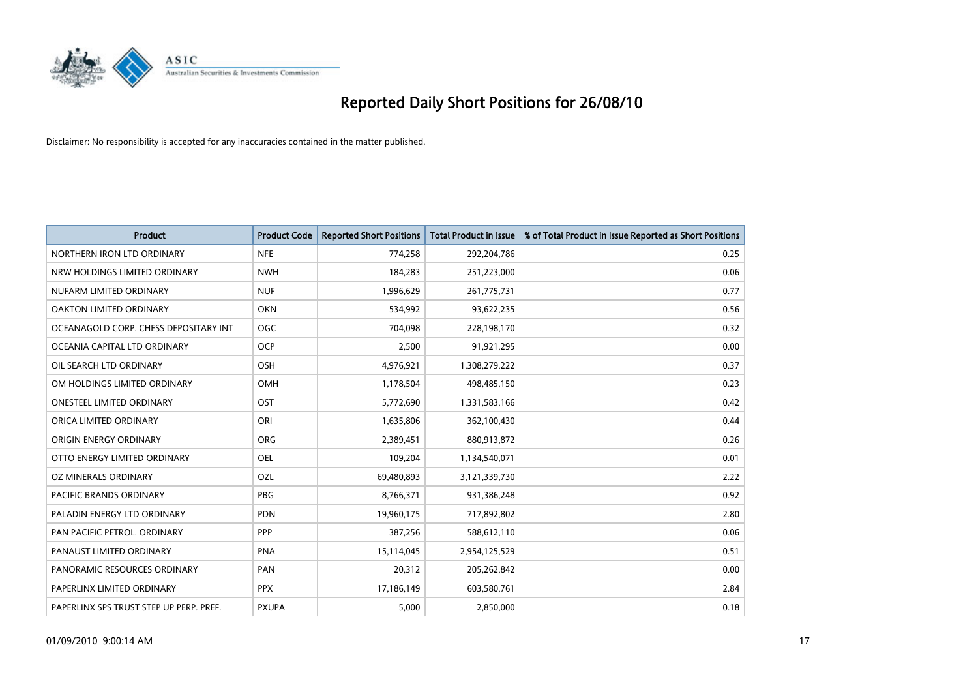

| <b>Product</b>                          | <b>Product Code</b> | <b>Reported Short Positions</b> | <b>Total Product in Issue</b> | % of Total Product in Issue Reported as Short Positions |
|-----------------------------------------|---------------------|---------------------------------|-------------------------------|---------------------------------------------------------|
| NORTHERN IRON LTD ORDINARY              | <b>NFE</b>          | 774,258                         | 292,204,786                   | 0.25                                                    |
| NRW HOLDINGS LIMITED ORDINARY           | <b>NWH</b>          | 184,283                         | 251,223,000                   | 0.06                                                    |
| NUFARM LIMITED ORDINARY                 | <b>NUF</b>          | 1,996,629                       | 261,775,731                   | 0.77                                                    |
| OAKTON LIMITED ORDINARY                 | OKN                 | 534,992                         | 93,622,235                    | 0.56                                                    |
| OCEANAGOLD CORP. CHESS DEPOSITARY INT   | <b>OGC</b>          | 704,098                         | 228,198,170                   | 0.32                                                    |
| OCEANIA CAPITAL LTD ORDINARY            | <b>OCP</b>          | 2,500                           | 91,921,295                    | 0.00                                                    |
| OIL SEARCH LTD ORDINARY                 | OSH                 | 4,976,921                       | 1,308,279,222                 | 0.37                                                    |
| OM HOLDINGS LIMITED ORDINARY            | <b>OMH</b>          | 1,178,504                       | 498,485,150                   | 0.23                                                    |
| <b>ONESTEEL LIMITED ORDINARY</b>        | OST                 | 5,772,690                       | 1,331,583,166                 | 0.42                                                    |
| ORICA LIMITED ORDINARY                  | ORI                 | 1,635,806                       | 362,100,430                   | 0.44                                                    |
| ORIGIN ENERGY ORDINARY                  | <b>ORG</b>          | 2,389,451                       | 880,913,872                   | 0.26                                                    |
| OTTO ENERGY LIMITED ORDINARY            | <b>OEL</b>          | 109,204                         | 1,134,540,071                 | 0.01                                                    |
| OZ MINERALS ORDINARY                    | OZL                 | 69,480,893                      | 3,121,339,730                 | 2.22                                                    |
| <b>PACIFIC BRANDS ORDINARY</b>          | <b>PBG</b>          | 8,766,371                       | 931,386,248                   | 0.92                                                    |
| PALADIN ENERGY LTD ORDINARY             | <b>PDN</b>          | 19,960,175                      | 717,892,802                   | 2.80                                                    |
| PAN PACIFIC PETROL. ORDINARY            | <b>PPP</b>          | 387,256                         | 588,612,110                   | 0.06                                                    |
| PANAUST LIMITED ORDINARY                | <b>PNA</b>          | 15,114,045                      | 2,954,125,529                 | 0.51                                                    |
| PANORAMIC RESOURCES ORDINARY            | PAN                 | 20,312                          | 205,262,842                   | 0.00                                                    |
| PAPERLINX LIMITED ORDINARY              | <b>PPX</b>          | 17,186,149                      | 603,580,761                   | 2.84                                                    |
| PAPERLINX SPS TRUST STEP UP PERP. PREF. | <b>PXUPA</b>        | 5,000                           | 2,850,000                     | 0.18                                                    |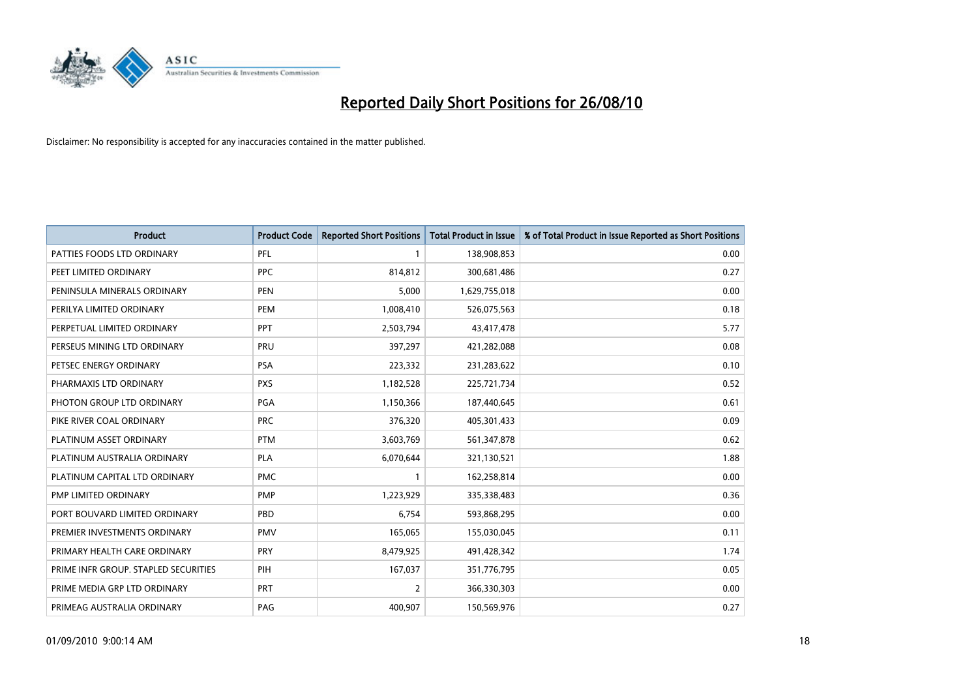

| <b>Product</b>                       | <b>Product Code</b> | <b>Reported Short Positions</b> | Total Product in Issue | % of Total Product in Issue Reported as Short Positions |
|--------------------------------------|---------------------|---------------------------------|------------------------|---------------------------------------------------------|
| PATTIES FOODS LTD ORDINARY           | PFL                 |                                 | 138,908,853            | 0.00                                                    |
| PEET LIMITED ORDINARY                | <b>PPC</b>          | 814,812                         | 300,681,486            | 0.27                                                    |
| PENINSULA MINERALS ORDINARY          | <b>PEN</b>          | 5,000                           | 1,629,755,018          | 0.00                                                    |
| PERILYA LIMITED ORDINARY             | PEM                 | 1,008,410                       | 526,075,563            | 0.18                                                    |
| PERPETUAL LIMITED ORDINARY           | <b>PPT</b>          | 2,503,794                       | 43,417,478             | 5.77                                                    |
| PERSEUS MINING LTD ORDINARY          | PRU                 | 397,297                         | 421,282,088            | 0.08                                                    |
| PETSEC ENERGY ORDINARY               | <b>PSA</b>          | 223,332                         | 231,283,622            | 0.10                                                    |
| PHARMAXIS LTD ORDINARY               | <b>PXS</b>          | 1,182,528                       | 225,721,734            | 0.52                                                    |
| PHOTON GROUP LTD ORDINARY            | <b>PGA</b>          | 1,150,366                       | 187,440,645            | 0.61                                                    |
| PIKE RIVER COAL ORDINARY             | <b>PRC</b>          | 376,320                         | 405,301,433            | 0.09                                                    |
| PLATINUM ASSET ORDINARY              | <b>PTM</b>          | 3,603,769                       | 561,347,878            | 0.62                                                    |
| PLATINUM AUSTRALIA ORDINARY          | <b>PLA</b>          | 6,070,644                       | 321,130,521            | 1.88                                                    |
| PLATINUM CAPITAL LTD ORDINARY        | <b>PMC</b>          |                                 | 162,258,814            | 0.00                                                    |
| PMP LIMITED ORDINARY                 | <b>PMP</b>          | 1,223,929                       | 335,338,483            | 0.36                                                    |
| PORT BOUVARD LIMITED ORDINARY        | PBD                 | 6,754                           | 593,868,295            | 0.00                                                    |
| PREMIER INVESTMENTS ORDINARY         | <b>PMV</b>          | 165,065                         | 155,030,045            | 0.11                                                    |
| PRIMARY HEALTH CARE ORDINARY         | <b>PRY</b>          | 8,479,925                       | 491,428,342            | 1.74                                                    |
| PRIME INFR GROUP. STAPLED SECURITIES | PIH                 | 167,037                         | 351,776,795            | 0.05                                                    |
| PRIME MEDIA GRP LTD ORDINARY         | <b>PRT</b>          | $\overline{2}$                  | 366,330,303            | 0.00                                                    |
| PRIMEAG AUSTRALIA ORDINARY           | PAG                 | 400,907                         | 150,569,976            | 0.27                                                    |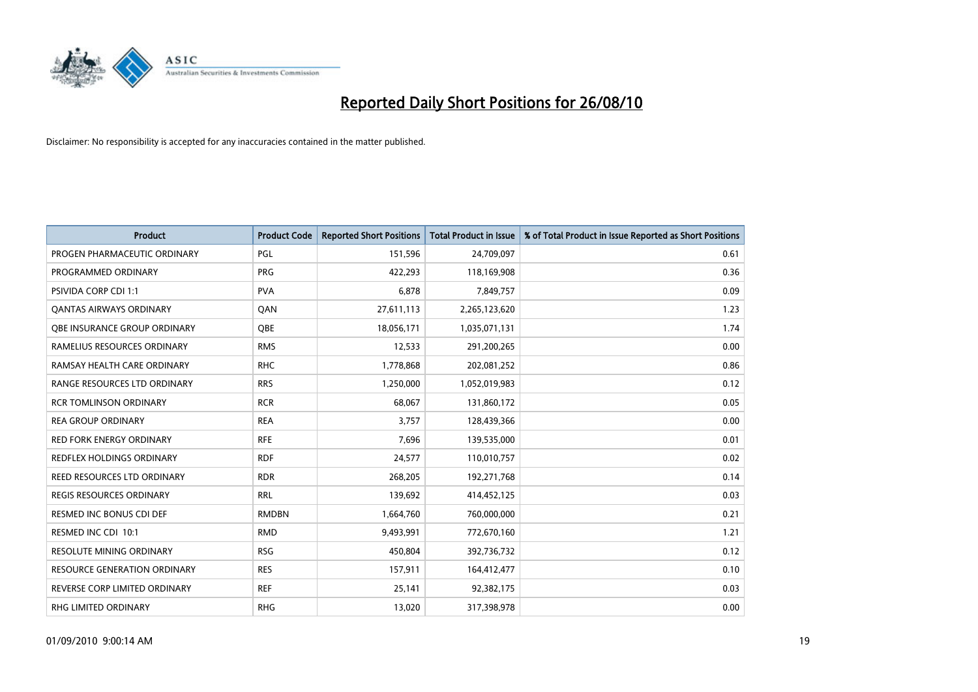

| <b>Product</b>                      | <b>Product Code</b> | <b>Reported Short Positions</b> | Total Product in Issue | % of Total Product in Issue Reported as Short Positions |
|-------------------------------------|---------------------|---------------------------------|------------------------|---------------------------------------------------------|
| PROGEN PHARMACEUTIC ORDINARY        | <b>PGL</b>          | 151,596                         | 24,709,097             | 0.61                                                    |
| PROGRAMMED ORDINARY                 | <b>PRG</b>          | 422,293                         | 118,169,908            | 0.36                                                    |
| <b>PSIVIDA CORP CDI 1:1</b>         | <b>PVA</b>          | 6,878                           | 7,849,757              | 0.09                                                    |
| <b>QANTAS AIRWAYS ORDINARY</b>      | QAN                 | 27,611,113                      | 2,265,123,620          | 1.23                                                    |
| <b>QBE INSURANCE GROUP ORDINARY</b> | <b>OBE</b>          | 18,056,171                      | 1,035,071,131          | 1.74                                                    |
| RAMELIUS RESOURCES ORDINARY         | <b>RMS</b>          | 12,533                          | 291,200,265            | 0.00                                                    |
| RAMSAY HEALTH CARE ORDINARY         | <b>RHC</b>          | 1,778,868                       | 202,081,252            | 0.86                                                    |
| RANGE RESOURCES LTD ORDINARY        | <b>RRS</b>          | 1,250,000                       | 1,052,019,983          | 0.12                                                    |
| <b>RCR TOMLINSON ORDINARY</b>       | <b>RCR</b>          | 68,067                          | 131,860,172            | 0.05                                                    |
| <b>REA GROUP ORDINARY</b>           | <b>REA</b>          | 3,757                           | 128,439,366            | 0.00                                                    |
| <b>RED FORK ENERGY ORDINARY</b>     | <b>RFE</b>          | 7,696                           | 139,535,000            | 0.01                                                    |
| REDFLEX HOLDINGS ORDINARY           | <b>RDF</b>          | 24,577                          | 110,010,757            | 0.02                                                    |
| REED RESOURCES LTD ORDINARY         | <b>RDR</b>          | 268,205                         | 192,271,768            | 0.14                                                    |
| <b>REGIS RESOURCES ORDINARY</b>     | <b>RRL</b>          | 139,692                         | 414,452,125            | 0.03                                                    |
| <b>RESMED INC BONUS CDI DEF</b>     | <b>RMDBN</b>        | 1,664,760                       | 760,000,000            | 0.21                                                    |
| RESMED INC CDI 10:1                 | <b>RMD</b>          | 9,493,991                       | 772,670,160            | 1.21                                                    |
| RESOLUTE MINING ORDINARY            | <b>RSG</b>          | 450,804                         | 392,736,732            | 0.12                                                    |
| <b>RESOURCE GENERATION ORDINARY</b> | <b>RES</b>          | 157,911                         | 164,412,477            | 0.10                                                    |
| REVERSE CORP LIMITED ORDINARY       | <b>REF</b>          | 25,141                          | 92,382,175             | 0.03                                                    |
| RHG LIMITED ORDINARY                | <b>RHG</b>          | 13,020                          | 317,398,978            | 0.00                                                    |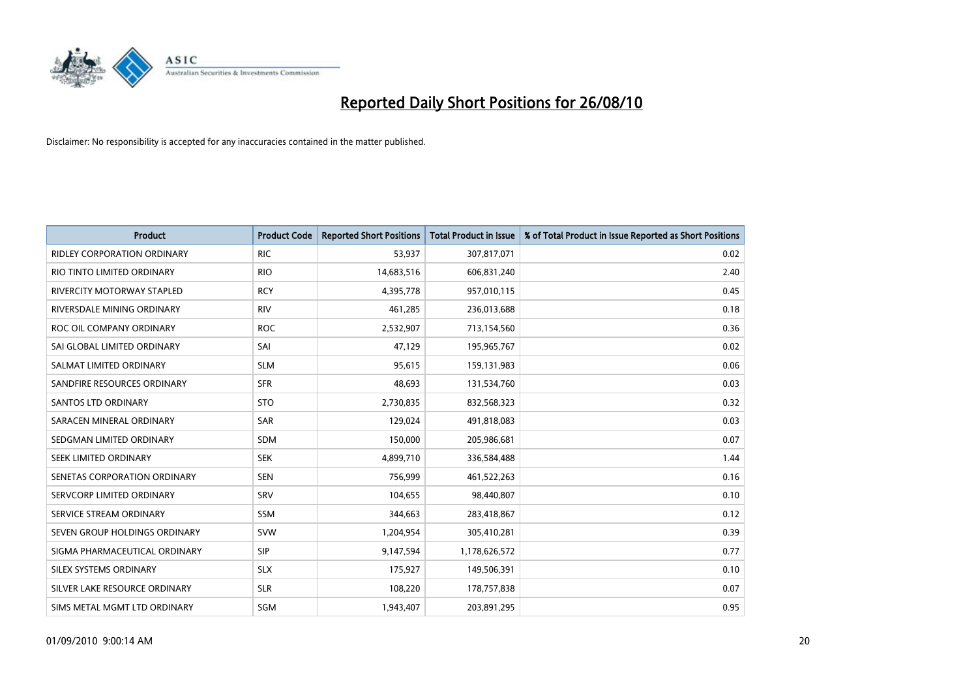

| <b>Product</b>                     | <b>Product Code</b> | <b>Reported Short Positions</b> | <b>Total Product in Issue</b> | % of Total Product in Issue Reported as Short Positions |
|------------------------------------|---------------------|---------------------------------|-------------------------------|---------------------------------------------------------|
| <b>RIDLEY CORPORATION ORDINARY</b> | <b>RIC</b>          | 53,937                          | 307,817,071                   | 0.02                                                    |
| RIO TINTO LIMITED ORDINARY         | <b>RIO</b>          | 14,683,516                      | 606,831,240                   | 2.40                                                    |
| RIVERCITY MOTORWAY STAPLED         | <b>RCY</b>          | 4,395,778                       | 957,010,115                   | 0.45                                                    |
| RIVERSDALE MINING ORDINARY         | <b>RIV</b>          | 461,285                         | 236,013,688                   | 0.18                                                    |
| ROC OIL COMPANY ORDINARY           | <b>ROC</b>          | 2,532,907                       | 713,154,560                   | 0.36                                                    |
| SAI GLOBAL LIMITED ORDINARY        | SAI                 | 47,129                          | 195,965,767                   | 0.02                                                    |
| SALMAT LIMITED ORDINARY            | <b>SLM</b>          | 95,615                          | 159,131,983                   | 0.06                                                    |
| SANDFIRE RESOURCES ORDINARY        | <b>SFR</b>          | 48,693                          | 131,534,760                   | 0.03                                                    |
| SANTOS LTD ORDINARY                | <b>STO</b>          | 2,730,835                       | 832,568,323                   | 0.32                                                    |
| SARACEN MINERAL ORDINARY           | <b>SAR</b>          | 129,024                         | 491,818,083                   | 0.03                                                    |
| SEDGMAN LIMITED ORDINARY           | <b>SDM</b>          | 150,000                         | 205,986,681                   | 0.07                                                    |
| <b>SEEK LIMITED ORDINARY</b>       | <b>SEK</b>          | 4,899,710                       | 336,584,488                   | 1.44                                                    |
| SENETAS CORPORATION ORDINARY       | <b>SEN</b>          | 756,999                         | 461,522,263                   | 0.16                                                    |
| SERVCORP LIMITED ORDINARY          | SRV                 | 104,655                         | 98,440,807                    | 0.10                                                    |
| SERVICE STREAM ORDINARY            | <b>SSM</b>          | 344,663                         | 283,418,867                   | 0.12                                                    |
| SEVEN GROUP HOLDINGS ORDINARY      | <b>SVW</b>          | 1,204,954                       | 305,410,281                   | 0.39                                                    |
| SIGMA PHARMACEUTICAL ORDINARY      | SIP                 | 9,147,594                       | 1,178,626,572                 | 0.77                                                    |
| SILEX SYSTEMS ORDINARY             | <b>SLX</b>          | 175,927                         | 149,506,391                   | 0.10                                                    |
| SILVER LAKE RESOURCE ORDINARY      | <b>SLR</b>          | 108,220                         | 178,757,838                   | 0.07                                                    |
| SIMS METAL MGMT LTD ORDINARY       | SGM                 | 1,943,407                       | 203,891,295                   | 0.95                                                    |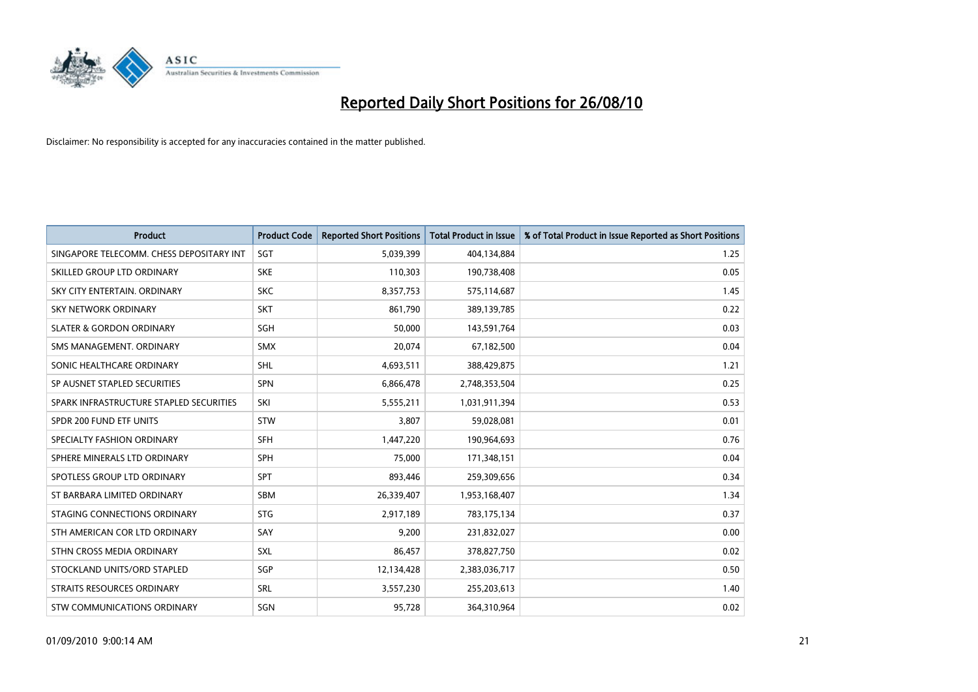

| <b>Product</b>                           | <b>Product Code</b> | <b>Reported Short Positions</b> | Total Product in Issue | % of Total Product in Issue Reported as Short Positions |
|------------------------------------------|---------------------|---------------------------------|------------------------|---------------------------------------------------------|
| SINGAPORE TELECOMM. CHESS DEPOSITARY INT | SGT                 | 5,039,399                       | 404,134,884            | 1.25                                                    |
| SKILLED GROUP LTD ORDINARY               | <b>SKE</b>          | 110,303                         | 190,738,408            | 0.05                                                    |
| SKY CITY ENTERTAIN, ORDINARY             | <b>SKC</b>          | 8,357,753                       | 575,114,687            | 1.45                                                    |
| SKY NETWORK ORDINARY                     | <b>SKT</b>          | 861,790                         | 389,139,785            | 0.22                                                    |
| <b>SLATER &amp; GORDON ORDINARY</b>      | SGH                 | 50,000                          | 143,591,764            | 0.03                                                    |
| SMS MANAGEMENT, ORDINARY                 | <b>SMX</b>          | 20,074                          | 67,182,500             | 0.04                                                    |
| SONIC HEALTHCARE ORDINARY                | <b>SHL</b>          | 4,693,511                       | 388,429,875            | 1.21                                                    |
| SP AUSNET STAPLED SECURITIES             | <b>SPN</b>          | 6,866,478                       | 2,748,353,504          | 0.25                                                    |
| SPARK INFRASTRUCTURE STAPLED SECURITIES  | SKI                 | 5,555,211                       | 1,031,911,394          | 0.53                                                    |
| SPDR 200 FUND ETF UNITS                  | <b>STW</b>          | 3,807                           | 59,028,081             | 0.01                                                    |
| SPECIALTY FASHION ORDINARY               | <b>SFH</b>          | 1,447,220                       | 190,964,693            | 0.76                                                    |
| SPHERE MINERALS LTD ORDINARY             | <b>SPH</b>          | 75,000                          | 171,348,151            | 0.04                                                    |
| SPOTLESS GROUP LTD ORDINARY              | <b>SPT</b>          | 893,446                         | 259,309,656            | 0.34                                                    |
| ST BARBARA LIMITED ORDINARY              | SBM                 | 26,339,407                      | 1,953,168,407          | 1.34                                                    |
| STAGING CONNECTIONS ORDINARY             | <b>STG</b>          | 2,917,189                       | 783,175,134            | 0.37                                                    |
| STH AMERICAN COR LTD ORDINARY            | SAY                 | 9,200                           | 231,832,027            | 0.00                                                    |
| STHN CROSS MEDIA ORDINARY                | SXL                 | 86,457                          | 378,827,750            | 0.02                                                    |
| STOCKLAND UNITS/ORD STAPLED              | <b>SGP</b>          | 12,134,428                      | 2,383,036,717          | 0.50                                                    |
| STRAITS RESOURCES ORDINARY               | SRL                 | 3,557,230                       | 255,203,613            | 1.40                                                    |
| STW COMMUNICATIONS ORDINARY              | SGN                 | 95,728                          | 364,310,964            | 0.02                                                    |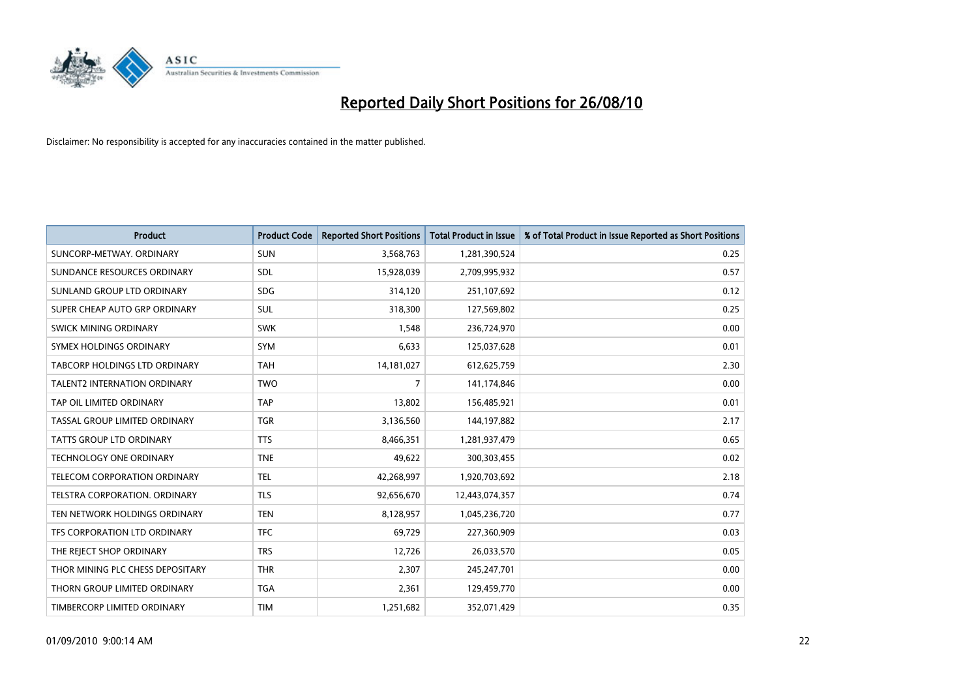

| <b>Product</b>                       | <b>Product Code</b> | <b>Reported Short Positions</b> | <b>Total Product in Issue</b> | % of Total Product in Issue Reported as Short Positions |
|--------------------------------------|---------------------|---------------------------------|-------------------------------|---------------------------------------------------------|
| SUNCORP-METWAY, ORDINARY             | <b>SUN</b>          | 3,568,763                       | 1,281,390,524                 | 0.25                                                    |
| SUNDANCE RESOURCES ORDINARY          | <b>SDL</b>          | 15,928,039                      | 2,709,995,932                 | 0.57                                                    |
| SUNLAND GROUP LTD ORDINARY           | <b>SDG</b>          | 314,120                         | 251,107,692                   | 0.12                                                    |
| SUPER CHEAP AUTO GRP ORDINARY        | <b>SUL</b>          | 318,300                         | 127,569,802                   | 0.25                                                    |
| SWICK MINING ORDINARY                | <b>SWK</b>          | 1,548                           | 236,724,970                   | 0.00                                                    |
| SYMEX HOLDINGS ORDINARY              | SYM                 | 6,633                           | 125,037,628                   | 0.01                                                    |
| <b>TABCORP HOLDINGS LTD ORDINARY</b> | <b>TAH</b>          | 14,181,027                      | 612,625,759                   | 2.30                                                    |
| TALENT2 INTERNATION ORDINARY         | <b>TWO</b>          | $\overline{7}$                  | 141,174,846                   | 0.00                                                    |
| TAP OIL LIMITED ORDINARY             | <b>TAP</b>          | 13,802                          | 156,485,921                   | 0.01                                                    |
| TASSAL GROUP LIMITED ORDINARY        | <b>TGR</b>          | 3,136,560                       | 144,197,882                   | 2.17                                                    |
| <b>TATTS GROUP LTD ORDINARY</b>      | <b>TTS</b>          | 8,466,351                       | 1,281,937,479                 | 0.65                                                    |
| TECHNOLOGY ONE ORDINARY              | <b>TNE</b>          | 49,622                          | 300,303,455                   | 0.02                                                    |
| TELECOM CORPORATION ORDINARY         | <b>TEL</b>          | 42,268,997                      | 1,920,703,692                 | 2.18                                                    |
| TELSTRA CORPORATION, ORDINARY        | <b>TLS</b>          | 92,656,670                      | 12,443,074,357                | 0.74                                                    |
| TEN NETWORK HOLDINGS ORDINARY        | <b>TEN</b>          | 8,128,957                       | 1,045,236,720                 | 0.77                                                    |
| TFS CORPORATION LTD ORDINARY         | <b>TFC</b>          | 69,729                          | 227,360,909                   | 0.03                                                    |
| THE REJECT SHOP ORDINARY             | <b>TRS</b>          | 12,726                          | 26,033,570                    | 0.05                                                    |
| THOR MINING PLC CHESS DEPOSITARY     | <b>THR</b>          | 2,307                           | 245,247,701                   | 0.00                                                    |
| THORN GROUP LIMITED ORDINARY         | <b>TGA</b>          | 2,361                           | 129,459,770                   | 0.00                                                    |
| TIMBERCORP LIMITED ORDINARY          | <b>TIM</b>          | 1,251,682                       | 352,071,429                   | 0.35                                                    |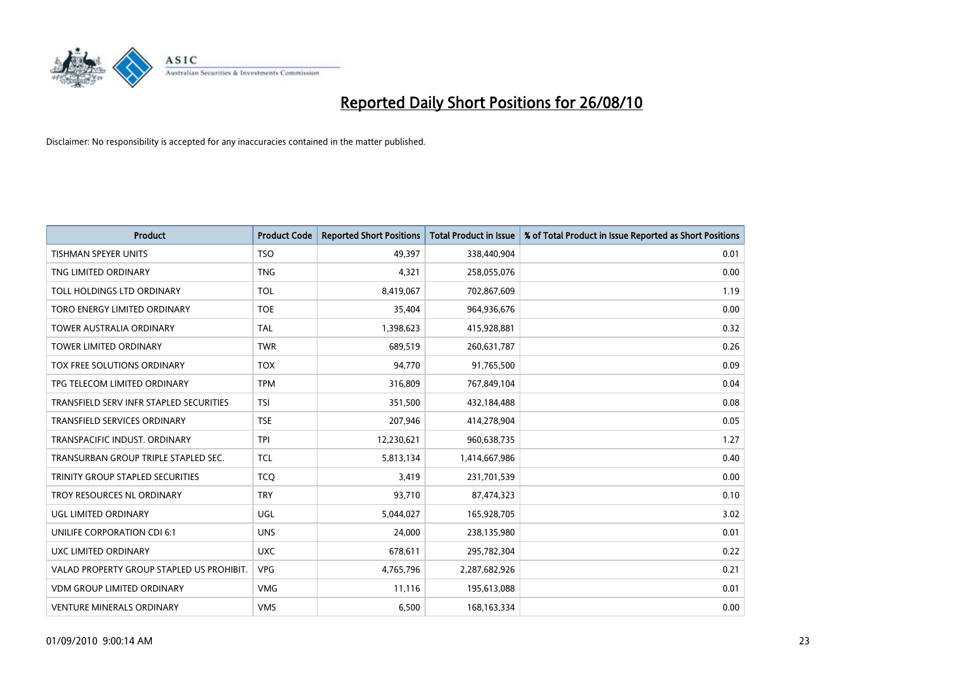

| <b>Product</b>                            | <b>Product Code</b> | <b>Reported Short Positions</b> | <b>Total Product in Issue</b> | % of Total Product in Issue Reported as Short Positions |
|-------------------------------------------|---------------------|---------------------------------|-------------------------------|---------------------------------------------------------|
| <b>TISHMAN SPEYER UNITS</b>               | <b>TSO</b>          | 49.397                          | 338,440,904                   | 0.01                                                    |
| TNG LIMITED ORDINARY                      | <b>TNG</b>          | 4,321                           | 258,055,076                   | 0.00                                                    |
| TOLL HOLDINGS LTD ORDINARY                | <b>TOL</b>          | 8,419,067                       | 702,867,609                   | 1.19                                                    |
| TORO ENERGY LIMITED ORDINARY              | <b>TOE</b>          | 35,404                          | 964,936,676                   | 0.00                                                    |
| <b>TOWER AUSTRALIA ORDINARY</b>           | <b>TAL</b>          | 1,398,623                       | 415,928,881                   | 0.32                                                    |
| <b>TOWER LIMITED ORDINARY</b>             | <b>TWR</b>          | 689,519                         | 260,631,787                   | 0.26                                                    |
| TOX FREE SOLUTIONS ORDINARY               | <b>TOX</b>          | 94,770                          | 91,765,500                    | 0.09                                                    |
| TPG TELECOM LIMITED ORDINARY              | <b>TPM</b>          | 316,809                         | 767,849,104                   | 0.04                                                    |
| TRANSFIELD SERV INFR STAPLED SECURITIES   | <b>TSI</b>          | 351,500                         | 432,184,488                   | 0.08                                                    |
| <b>TRANSFIELD SERVICES ORDINARY</b>       | <b>TSE</b>          | 207,946                         | 414,278,904                   | 0.05                                                    |
| TRANSPACIFIC INDUST. ORDINARY             | <b>TPI</b>          | 12,230,621                      | 960,638,735                   | 1.27                                                    |
| TRANSURBAN GROUP TRIPLE STAPLED SEC.      | <b>TCL</b>          | 5,813,134                       | 1,414,667,986                 | 0.40                                                    |
| TRINITY GROUP STAPLED SECURITIES          | <b>TCO</b>          | 3,419                           | 231,701,539                   | 0.00                                                    |
| TROY RESOURCES NL ORDINARY                | <b>TRY</b>          | 93,710                          | 87,474,323                    | 0.10                                                    |
| <b>UGL LIMITED ORDINARY</b>               | UGL                 | 5,044,027                       | 165,928,705                   | 3.02                                                    |
| UNILIFE CORPORATION CDI 6:1               | <b>UNS</b>          | 24,000                          | 238,135,980                   | 0.01                                                    |
| UXC LIMITED ORDINARY                      | <b>UXC</b>          | 678,611                         | 295,782,304                   | 0.22                                                    |
| VALAD PROPERTY GROUP STAPLED US PROHIBIT. | <b>VPG</b>          | 4,765,796                       | 2,287,682,926                 | 0.21                                                    |
| <b>VDM GROUP LIMITED ORDINARY</b>         | <b>VMG</b>          | 11,116                          | 195,613,088                   | 0.01                                                    |
| <b>VENTURE MINERALS ORDINARY</b>          | <b>VMS</b>          | 6,500                           | 168, 163, 334                 | 0.00                                                    |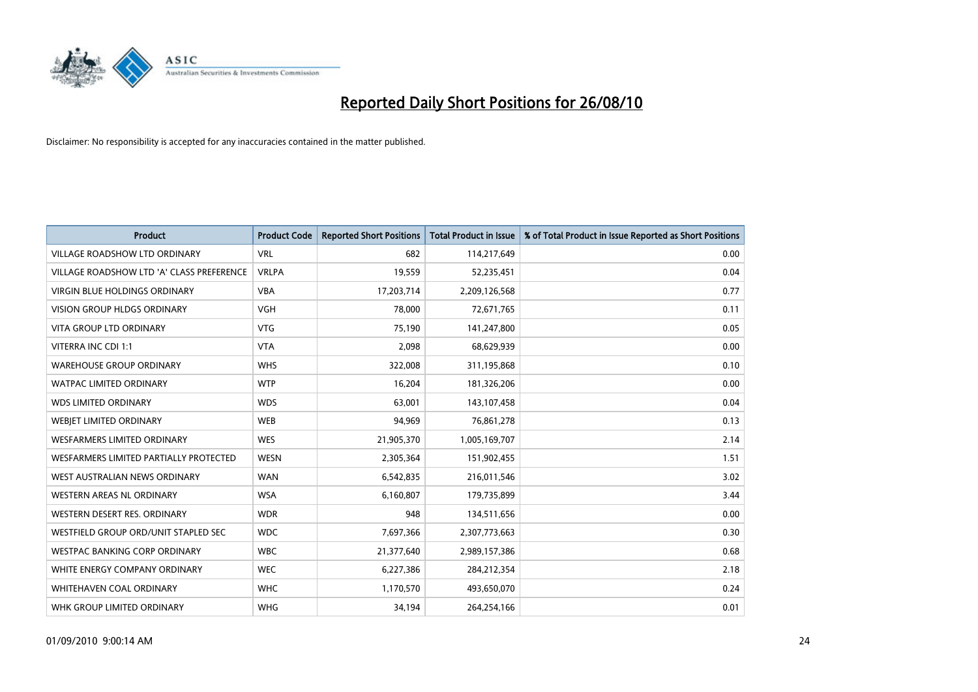

| <b>Product</b>                            | <b>Product Code</b> | <b>Reported Short Positions</b> | <b>Total Product in Issue</b> | % of Total Product in Issue Reported as Short Positions |
|-------------------------------------------|---------------------|---------------------------------|-------------------------------|---------------------------------------------------------|
| <b>VILLAGE ROADSHOW LTD ORDINARY</b>      | <b>VRL</b>          | 682                             | 114,217,649                   | 0.00                                                    |
| VILLAGE ROADSHOW LTD 'A' CLASS PREFERENCE | <b>VRLPA</b>        | 19,559                          | 52,235,451                    | 0.04                                                    |
| <b>VIRGIN BLUE HOLDINGS ORDINARY</b>      | <b>VBA</b>          | 17,203,714                      | 2,209,126,568                 | 0.77                                                    |
| VISION GROUP HLDGS ORDINARY               | <b>VGH</b>          | 78,000                          | 72,671,765                    | 0.11                                                    |
| <b>VITA GROUP LTD ORDINARY</b>            | <b>VTG</b>          | 75,190                          | 141,247,800                   | 0.05                                                    |
| VITERRA INC CDI 1:1                       | <b>VTA</b>          | 2,098                           | 68,629,939                    | 0.00                                                    |
| <b>WAREHOUSE GROUP ORDINARY</b>           | <b>WHS</b>          | 322,008                         | 311,195,868                   | 0.10                                                    |
| WATPAC LIMITED ORDINARY                   | <b>WTP</b>          | 16,204                          | 181,326,206                   | 0.00                                                    |
| <b>WDS LIMITED ORDINARY</b>               | <b>WDS</b>          | 63,001                          | 143,107,458                   | 0.04                                                    |
| WEBJET LIMITED ORDINARY                   | <b>WEB</b>          | 94,969                          | 76,861,278                    | 0.13                                                    |
| WESFARMERS LIMITED ORDINARY               | <b>WES</b>          | 21,905,370                      | 1,005,169,707                 | 2.14                                                    |
| WESFARMERS LIMITED PARTIALLY PROTECTED    | <b>WESN</b>         | 2,305,364                       | 151,902,455                   | 1.51                                                    |
| WEST AUSTRALIAN NEWS ORDINARY             | <b>WAN</b>          | 6,542,835                       | 216,011,546                   | 3.02                                                    |
| <b>WESTERN AREAS NL ORDINARY</b>          | <b>WSA</b>          | 6,160,807                       | 179,735,899                   | 3.44                                                    |
| WESTERN DESERT RES. ORDINARY              | <b>WDR</b>          | 948                             | 134,511,656                   | 0.00                                                    |
| WESTFIELD GROUP ORD/UNIT STAPLED SEC      | <b>WDC</b>          | 7,697,366                       | 2,307,773,663                 | 0.30                                                    |
| WESTPAC BANKING CORP ORDINARY             | <b>WBC</b>          | 21,377,640                      | 2,989,157,386                 | 0.68                                                    |
| WHITE ENERGY COMPANY ORDINARY             | <b>WEC</b>          | 6,227,386                       | 284,212,354                   | 2.18                                                    |
| WHITEHAVEN COAL ORDINARY                  | <b>WHC</b>          | 1,170,570                       | 493,650,070                   | 0.24                                                    |
| WHK GROUP LIMITED ORDINARY                | <b>WHG</b>          | 34,194                          | 264,254,166                   | 0.01                                                    |